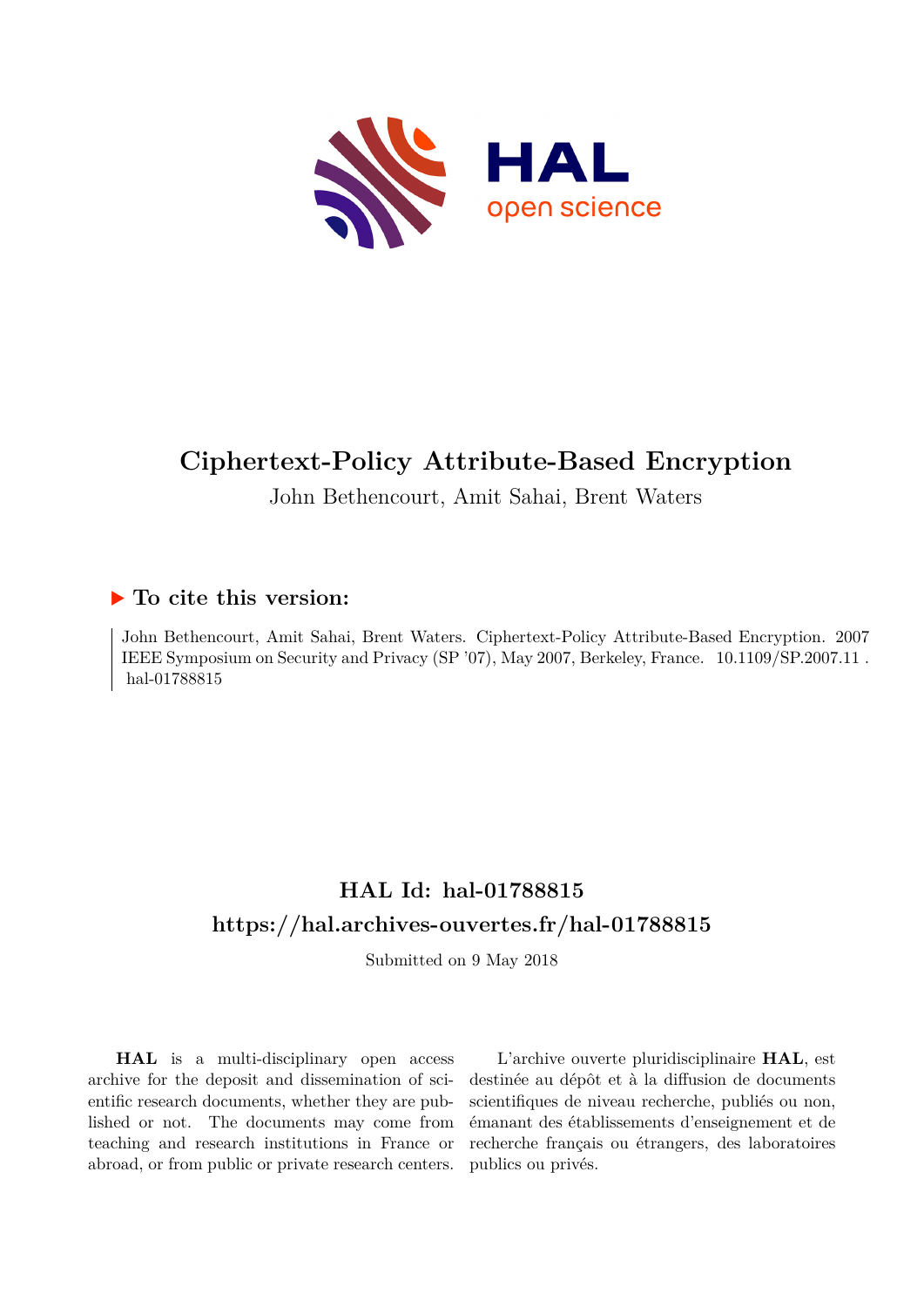

# **Ciphertext-Policy Attribute-Based Encryption**

John Bethencourt, Amit Sahai, Brent Waters

### **To cite this version:**

John Bethencourt, Amit Sahai, Brent Waters. Ciphertext-Policy Attribute-Based Encryption. 2007 IEEE Symposium on Security and Privacy (SP '07), May 2007, Berkeley, France.  $10.1109/SP.2007.11$ . hal-01788815

## **HAL Id: hal-01788815 <https://hal.archives-ouvertes.fr/hal-01788815>**

Submitted on 9 May 2018

**HAL** is a multi-disciplinary open access archive for the deposit and dissemination of scientific research documents, whether they are published or not. The documents may come from teaching and research institutions in France or abroad, or from public or private research centers.

L'archive ouverte pluridisciplinaire **HAL**, est destinée au dépôt et à la diffusion de documents scientifiques de niveau recherche, publiés ou non, émanant des établissements d'enseignement et de recherche français ou étrangers, des laboratoires publics ou privés.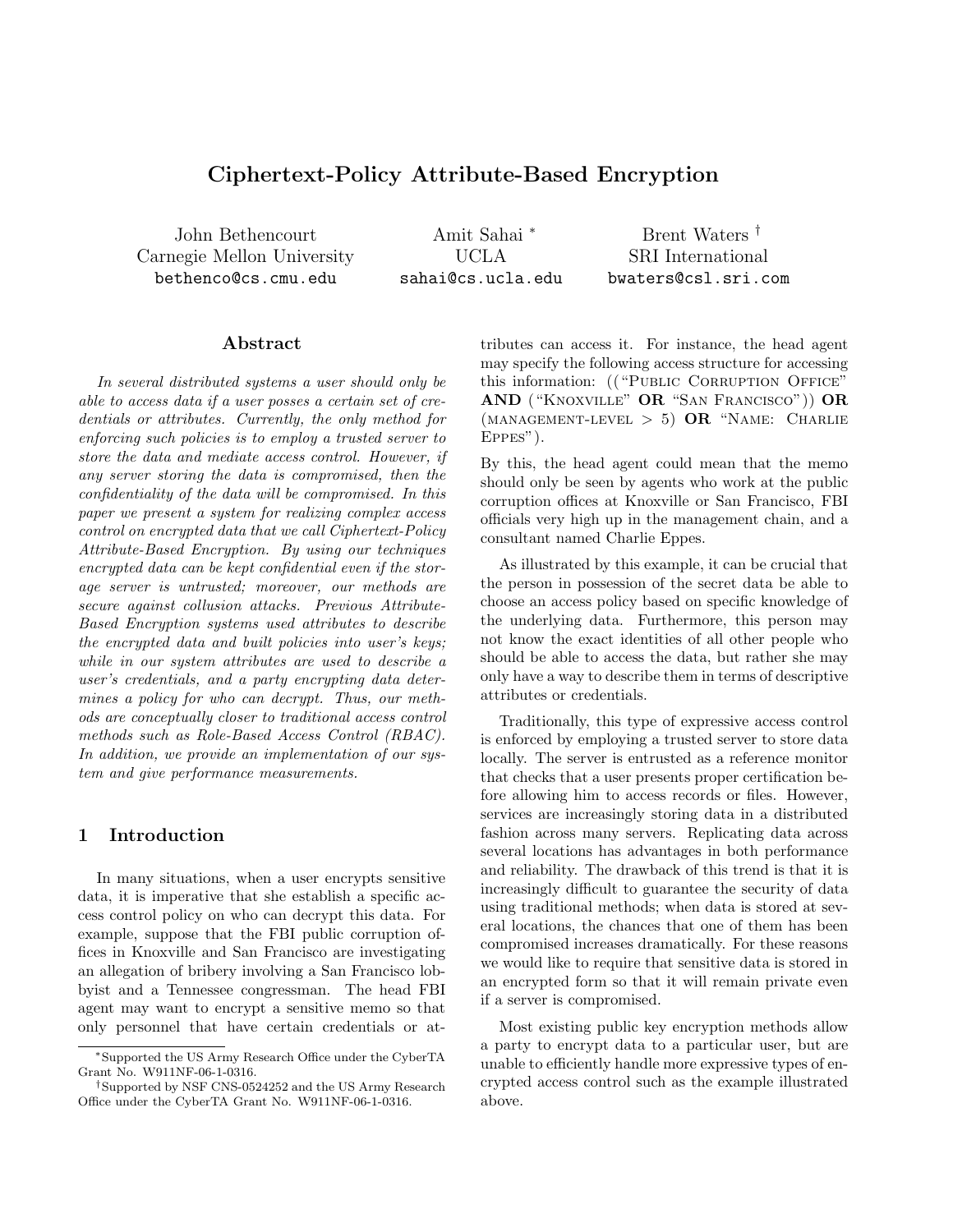### Ciphertext-Policy Attribute-Based Encryption

John Bethencourt Carnegie Mellon University bethenco@cs.cmu.edu

Amit Sahai <sup>∗</sup> UCLA sahai@cs.ucla.edu

Brent Waters † SRI International bwaters@csl.sri.com

#### Abstract

In several distributed systems a user should only be able to access data if a user posses a certain set of credentials or attributes. Currently, the only method for enforcing such policies is to employ a trusted server to store the data and mediate access control. However, if any server storing the data is compromised, then the confidentiality of the data will be compromised. In this paper we present a system for realizing complex access control on encrypted data that we call Ciphertext-Policy Attribute-Based Encryption. By using our techniques encrypted data can be kept confidential even if the storage server is untrusted; moreover, our methods are secure against collusion attacks. Previous Attribute-Based Encryption systems used attributes to describe the encrypted data and built policies into user's keys; while in our system attributes are used to describe a user's credentials, and a party encrypting data determines a policy for who can decrypt. Thus, our methods are conceptually closer to traditional access control methods such as Role-Based Access Control (RBAC). In addition, we provide an implementation of our system and give performance measurements.

#### 1 Introduction

In many situations, when a user encrypts sensitive data, it is imperative that she establish a specific access control policy on who can decrypt this data. For example, suppose that the FBI public corruption offices in Knoxville and San Francisco are investigating an allegation of bribery involving a San Francisco lobbyist and a Tennessee congressman. The head FBI agent may want to encrypt a sensitive memo so that only personnel that have certain credentials or attributes can access it. For instance, the head agent may specify the following access structure for accessing this information: (("PUBLIC CORRUPTION OFFICE" AND ("Knoxville" OR "San Francisco")) OR (MANAGEMENT-LEVEL  $> 5$ ) OR "NAME: CHARLIE Eppes").

By this, the head agent could mean that the memo should only be seen by agents who work at the public corruption offices at Knoxville or San Francisco, FBI officials very high up in the management chain, and a consultant named Charlie Eppes.

As illustrated by this example, it can be crucial that the person in possession of the secret data be able to choose an access policy based on specific knowledge of the underlying data. Furthermore, this person may not know the exact identities of all other people who should be able to access the data, but rather she may only have a way to describe them in terms of descriptive attributes or credentials.

Traditionally, this type of expressive access control is enforced by employing a trusted server to store data locally. The server is entrusted as a reference monitor that checks that a user presents proper certification before allowing him to access records or files. However, services are increasingly storing data in a distributed fashion across many servers. Replicating data across several locations has advantages in both performance and reliability. The drawback of this trend is that it is increasingly difficult to guarantee the security of data using traditional methods; when data is stored at several locations, the chances that one of them has been compromised increases dramatically. For these reasons we would like to require that sensitive data is stored in an encrypted form so that it will remain private even if a server is compromised.

Most existing public key encryption methods allow a party to encrypt data to a particular user, but are unable to efficiently handle more expressive types of encrypted access control such as the example illustrated above.

<sup>∗</sup>Supported the US Army Research Office under the CyberTA Grant No. W911NF-06-1-0316.

<sup>†</sup>Supported by NSF CNS-0524252 and the US Army Research Office under the CyberTA Grant No. W911NF-06-1-0316.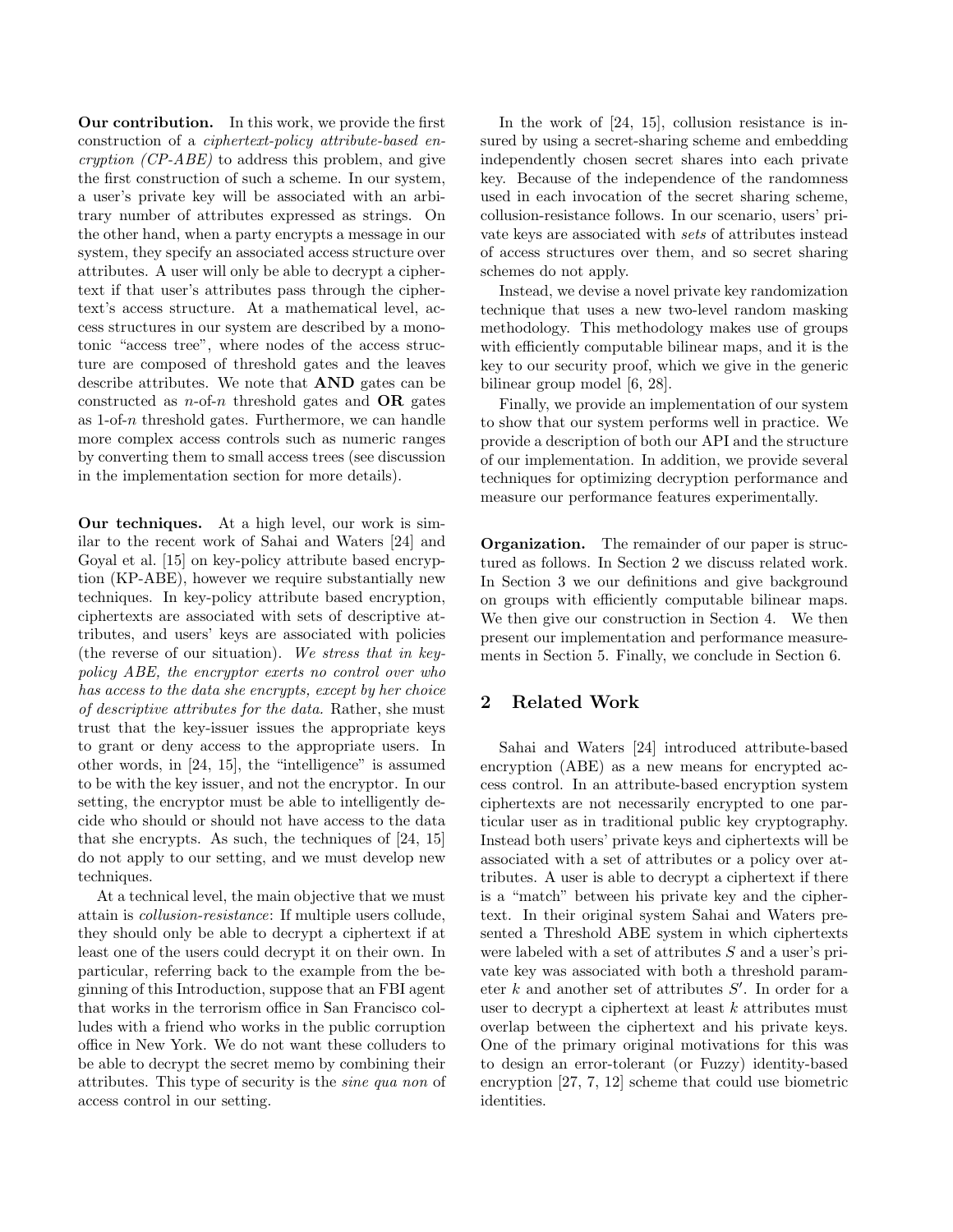Our contribution. In this work, we provide the first construction of a ciphertext-policy attribute-based en*cryption (CP-ABE)* to address this problem, and give the first construction of such a scheme. In our system, a user's private key will be associated with an arbitrary number of attributes expressed as strings. On the other hand, when a party encrypts a message in our system, they specify an associated access structure over attributes. A user will only be able to decrypt a ciphertext if that user's attributes pass through the ciphertext's access structure. At a mathematical level, access structures in our system are described by a monotonic "access tree", where nodes of the access structure are composed of threshold gates and the leaves describe attributes. We note that AND gates can be constructed as  $n$ -of-n threshold gates and **OR** gates as  $1$ -of- $n$  threshold gates. Furthermore, we can handle more complex access controls such as numeric ranges by converting them to small access trees (see discussion in the implementation section for more details).

Our techniques. At a high level, our work is similar to the recent work of Sahai and Waters [24] and Goyal et al. [15] on key-policy attribute based encryption (KP-ABE), however we require substantially new techniques. In key-policy attribute based encryption, ciphertexts are associated with sets of descriptive attributes, and users' keys are associated with policies (the reverse of our situation). We stress that in keypolicy ABE, the encryptor exerts no control over who has access to the data she encrypts, except by her choice of descriptive attributes for the data. Rather, she must trust that the key-issuer issues the appropriate keys to grant or deny access to the appropriate users. In other words, in [24, 15], the "intelligence" is assumed to be with the key issuer, and not the encryptor. In our setting, the encryptor must be able to intelligently decide who should or should not have access to the data that she encrypts. As such, the techniques of [24, 15] do not apply to our setting, and we must develop new techniques.

At a technical level, the main objective that we must attain is collusion-resistance: If multiple users collude, they should only be able to decrypt a ciphertext if at least one of the users could decrypt it on their own. In particular, referring back to the example from the beginning of this Introduction, suppose that an FBI agent that works in the terrorism office in San Francisco colludes with a friend who works in the public corruption office in New York. We do not want these colluders to be able to decrypt the secret memo by combining their attributes. This type of security is the sine qua non of access control in our setting.

In the work of [24, 15], collusion resistance is insured by using a secret-sharing scheme and embedding independently chosen secret shares into each private key. Because of the independence of the randomness used in each invocation of the secret sharing scheme, collusion-resistance follows. In our scenario, users' private keys are associated with sets of attributes instead of access structures over them, and so secret sharing schemes do not apply.

Instead, we devise a novel private key randomization technique that uses a new two-level random masking methodology. This methodology makes use of groups with efficiently computable bilinear maps, and it is the key to our security proof, which we give in the generic bilinear group model [6, 28].

Finally, we provide an implementation of our system to show that our system performs well in practice. We provide a description of both our API and the structure of our implementation. In addition, we provide several techniques for optimizing decryption performance and measure our performance features experimentally.

**Organization.** The remainder of our paper is structured as follows. In Section 2 we discuss related work. In Section 3 we our definitions and give background on groups with efficiently computable bilinear maps. We then give our construction in Section 4. We then present our implementation and performance measurements in Section 5. Finally, we conclude in Section 6.

#### 2 Related Work

Sahai and Waters [24] introduced attribute-based encryption (ABE) as a new means for encrypted access control. In an attribute-based encryption system ciphertexts are not necessarily encrypted to one particular user as in traditional public key cryptography. Instead both users' private keys and ciphertexts will be associated with a set of attributes or a policy over attributes. A user is able to decrypt a ciphertext if there is a "match" between his private key and the ciphertext. In their original system Sahai and Waters presented a Threshold ABE system in which ciphertexts were labeled with a set of attributes S and a user's private key was associated with both a threshold parameter  $k$  and another set of attributes  $S'$ . In order for a user to decrypt a ciphertext at least  $k$  attributes must overlap between the ciphertext and his private keys. One of the primary original motivations for this was to design an error-tolerant (or Fuzzy) identity-based encryption [27, 7, 12] scheme that could use biometric identities.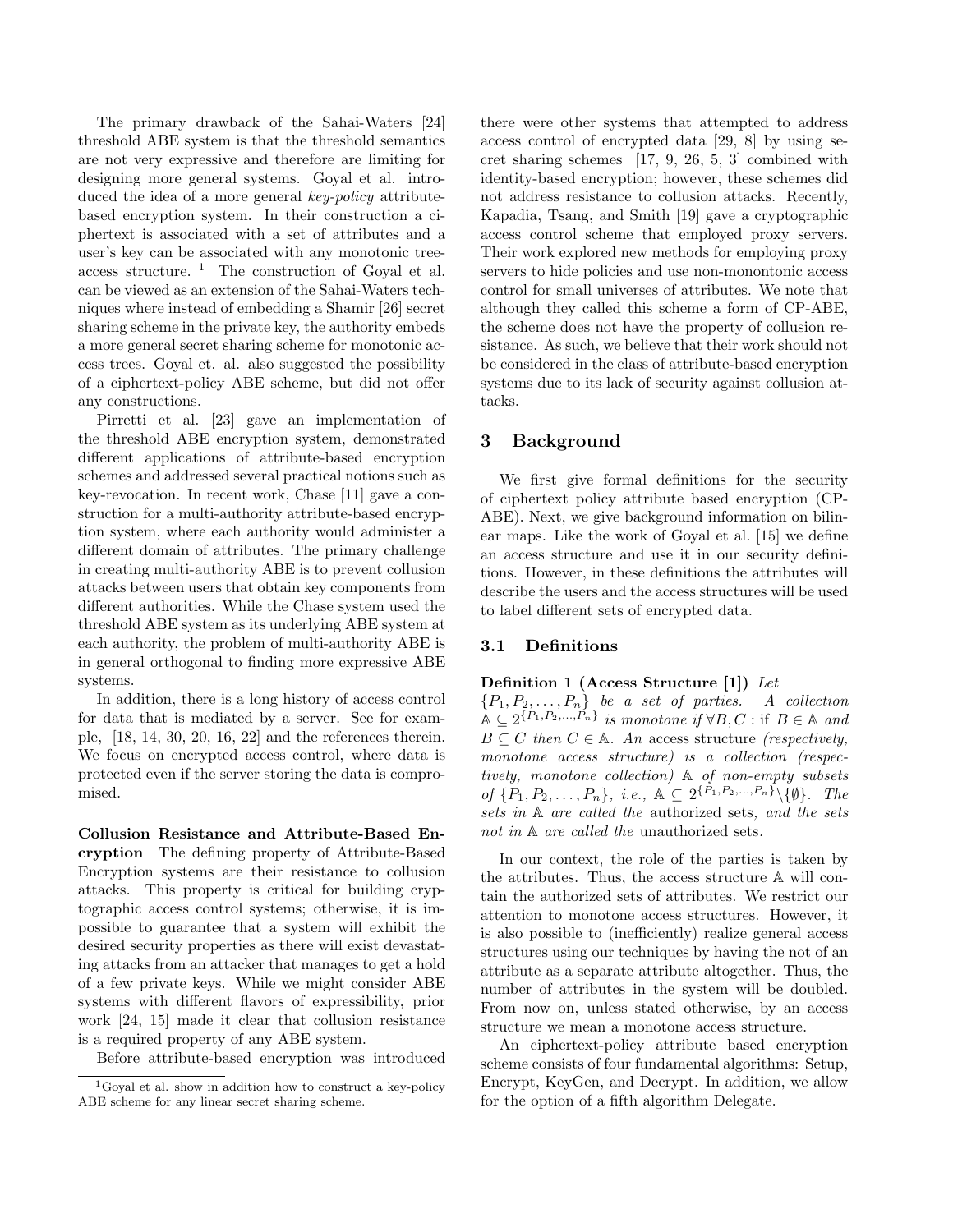The primary drawback of the Sahai-Waters [24] threshold ABE system is that the threshold semantics are not very expressive and therefore are limiting for designing more general systems. Goyal et al. introduced the idea of a more general key-policy attributebased encryption system. In their construction a ciphertext is associated with a set of attributes and a user's key can be associated with any monotonic treeaccess structure.  $1$  The construction of Goyal et al. can be viewed as an extension of the Sahai-Waters techniques where instead of embedding a Shamir [26] secret sharing scheme in the private key, the authority embeds a more general secret sharing scheme for monotonic access trees. Goyal et. al. also suggested the possibility of a ciphertext-policy ABE scheme, but did not offer any constructions.

Pirretti et al. [23] gave an implementation of the threshold ABE encryption system, demonstrated different applications of attribute-based encryption schemes and addressed several practical notions such as key-revocation. In recent work, Chase [11] gave a construction for a multi-authority attribute-based encryption system, where each authority would administer a different domain of attributes. The primary challenge in creating multi-authority ABE is to prevent collusion attacks between users that obtain key components from different authorities. While the Chase system used the threshold ABE system as its underlying ABE system at each authority, the problem of multi-authority ABE is in general orthogonal to finding more expressive ABE systems.

In addition, there is a long history of access control for data that is mediated by a server. See for example, [18, 14, 30, 20, 16, 22] and the references therein. We focus on encrypted access control, where data is protected even if the server storing the data is compromised.

Collusion Resistance and Attribute-Based Encryption The defining property of Attribute-Based Encryption systems are their resistance to collusion attacks. This property is critical for building cryptographic access control systems; otherwise, it is impossible to guarantee that a system will exhibit the desired security properties as there will exist devastating attacks from an attacker that manages to get a hold of a few private keys. While we might consider ABE systems with different flavors of expressibility, prior work [24, 15] made it clear that collusion resistance is a required property of any ABE system.

Before attribute-based encryption was introduced

there were other systems that attempted to address access control of encrypted data [29, 8] by using secret sharing schemes [17, 9, 26, 5, 3] combined with identity-based encryption; however, these schemes did not address resistance to collusion attacks. Recently, Kapadia, Tsang, and Smith [19] gave a cryptographic access control scheme that employed proxy servers. Their work explored new methods for employing proxy servers to hide policies and use non-monontonic access control for small universes of attributes. We note that although they called this scheme a form of CP-ABE, the scheme does not have the property of collusion resistance. As such, we believe that their work should not be considered in the class of attribute-based encryption systems due to its lack of security against collusion attacks.

#### 3 Background

We first give formal definitions for the security of ciphertext policy attribute based encryption (CP-ABE). Next, we give background information on bilinear maps. Like the work of Goyal et al. [15] we define an access structure and use it in our security definitions. However, in these definitions the attributes will describe the users and the access structures will be used to label different sets of encrypted data.

#### 3.1 Definitions

#### Definition 1 (Access Structure [1]) Let

 ${P_1, P_2, \ldots, P_n}$  be a set of parties. A collection  $\mathbb{A} \subseteq 2^{\{P_1, P_2, ..., P_n\}}$  is monotone if  $\forall B, C$ : if  $B \in \mathbb{A}$  and  $B \subseteq C$  then  $C \in \mathbb{A}$ . An access structure (respectively, monotone access structure) is a collection (respectively, monotone collection) A of non-empty subsets of  $\{P_1, P_2, \ldots, P_n\}$ , i.e.,  $\mathbb{A} \subseteq 2^{\{P_1, P_2, \ldots, P_n\}} \setminus \{\emptyset\}$ . The sets in A are called the authorized sets, and the sets not in  $A$  are called the unauthorized sets.

In our context, the role of the parties is taken by the attributes. Thus, the access structure A will contain the authorized sets of attributes. We restrict our attention to monotone access structures. However, it is also possible to (inefficiently) realize general access structures using our techniques by having the not of an attribute as a separate attribute altogether. Thus, the number of attributes in the system will be doubled. From now on, unless stated otherwise, by an access structure we mean a monotone access structure.

An ciphertext-policy attribute based encryption scheme consists of four fundamental algorithms: Setup, Encrypt, KeyGen, and Decrypt. In addition, we allow for the option of a fifth algorithm Delegate.

 ${}^{1}$ Goyal et al. show in addition how to construct a key-policy ABE scheme for any linear secret sharing scheme.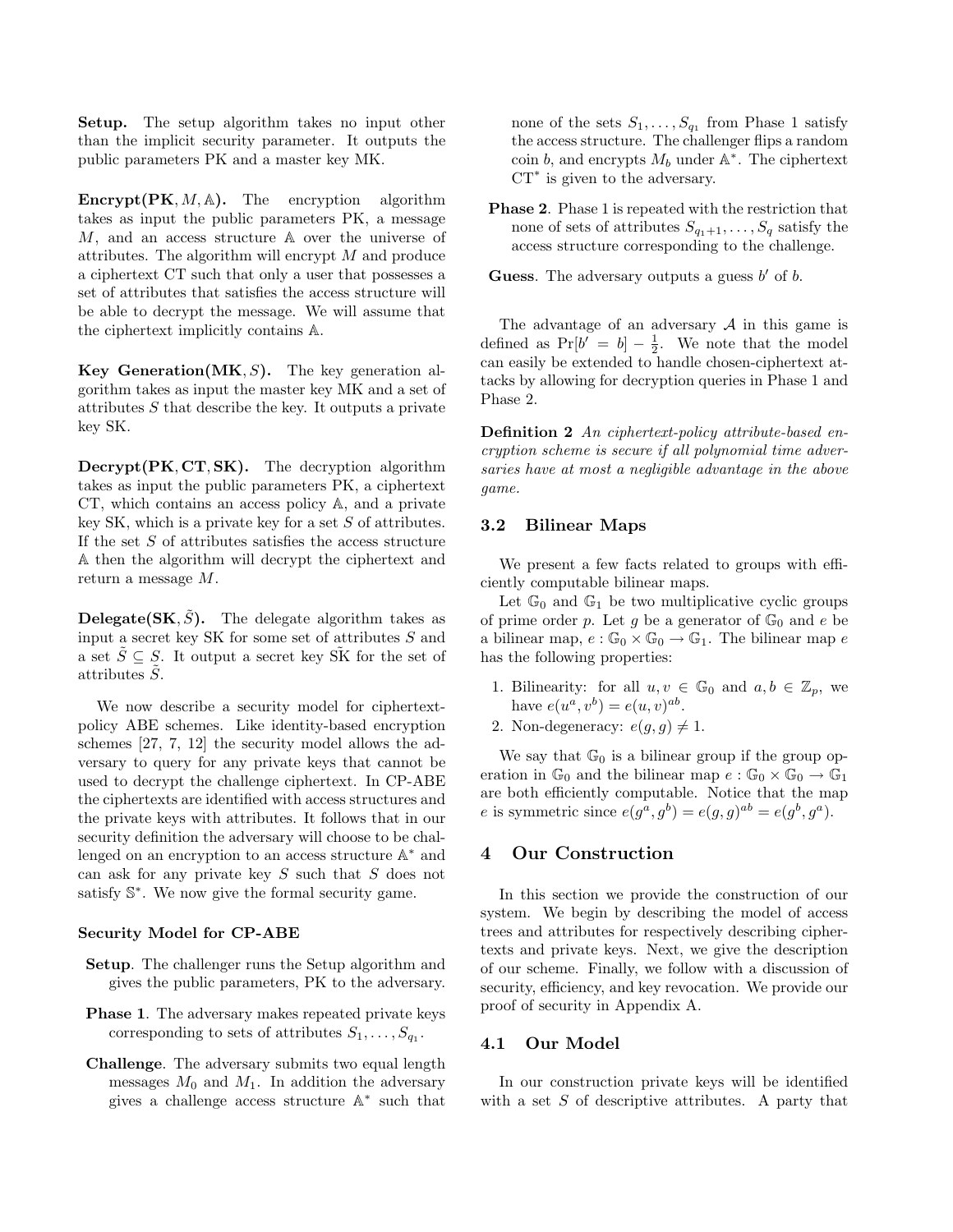Setup. The setup algorithm takes no input other than the implicit security parameter. It outputs the public parameters PK and a master key MK.

**Encrypt(PK, M, A).** The encryption algorithm takes as input the public parameters PK, a message M, and an access structure A over the universe of attributes. The algorithm will encrypt M and produce a ciphertext CT such that only a user that possesses a set of attributes that satisfies the access structure will be able to decrypt the message. We will assume that the ciphertext implicitly contains A.

**Key Generation**( $MK, S$ ). The key generation algorithm takes as input the master key MK and a set of attributes  $S$  that describe the key. It outputs a private key SK.

Decrypt(PK, CT, SK). The decryption algorithm takes as input the public parameters PK, a ciphertext CT, which contains an access policy A, and a private key SK, which is a private key for a set  $S$  of attributes. If the set S of attributes satisfies the access structure A then the algorithm will decrypt the ciphertext and return a message M.

**Delegate**(SK, S). The delegate algorithm takes as input a secret key SK for some set of attributes S and a set  $S \subseteq S$ . It output a secret key SK for the set of attributes  $\tilde{S}$ .

We now describe a security model for ciphertextpolicy ABE schemes. Like identity-based encryption schemes [27, 7, 12] the security model allows the adversary to query for any private keys that cannot be used to decrypt the challenge ciphertext. In CP-ABE the ciphertexts are identified with access structures and the private keys with attributes. It follows that in our security definition the adversary will choose to be challenged on an encryption to an access structure  $\mathbb{A}^*$  and can ask for any private key S such that S does not satisfy  $\mathbb{S}^*$ . We now give the formal security game.

#### Security Model for CP-ABE

- Setup. The challenger runs the Setup algorithm and gives the public parameters, PK to the adversary.
- Phase 1. The adversary makes repeated private keys corresponding to sets of attributes  $S_1, \ldots, S_{q_1}$ .
- Challenge. The adversary submits two equal length messages  $M_0$  and  $M_1$ . In addition the adversary gives a challenge access structure  $\mathbb{A}^*$  such that

none of the sets  $S_1, \ldots, S_{q_1}$  from Phase 1 satisfy the access structure. The challenger flips a random coin b, and encrypts  $M_b$  under  $\mathbb{A}^*$ . The ciphertext CT<sup>\*</sup> is given to the adversary.

Phase 2. Phase 1 is repeated with the restriction that none of sets of attributes  $S_{q_1+1},\ldots,S_q$  satisfy the access structure corresponding to the challenge.

**Guess**. The adversary outputs a guess  $b'$  of  $b$ .

The advantage of an adversary  $A$  in this game is defined as  $Pr[b' = b] - \frac{1}{2}$ . We note that the model can easily be extended to handle chosen-ciphertext attacks by allowing for decryption queries in Phase 1 and Phase 2.

Definition 2 An ciphertext-policy attribute-based encryption scheme is secure if all polynomial time adversaries have at most a negligible advantage in the above game.

#### 3.2 Bilinear Maps

We present a few facts related to groups with efficiently computable bilinear maps.

Let  $\mathbb{G}_0$  and  $\mathbb{G}_1$  be two multiplicative cyclic groups of prime order p. Let g be a generator of  $\mathbb{G}_0$  and e be a bilinear map,  $e : \mathbb{G}_0 \times \mathbb{G}_0 \to \mathbb{G}_1$ . The bilinear map  $e$ has the following properties:

- 1. Bilinearity: for all  $u, v \in \mathbb{G}_0$  and  $a, b \in \mathbb{Z}_p$ , we have  $e(u^a, v^b) = e(u, v)^{ab}$ .
- 2. Non-degeneracy:  $e(g, g) \neq 1$ .

We say that  $\mathbb{G}_0$  is a bilinear group if the group operation in  $\mathbb{G}_0$  and the bilinear map  $e : \mathbb{G}_0 \times \mathbb{G}_0 \to \mathbb{G}_1$ are both efficiently computable. Notice that the map e is symmetric since  $e(g^a, g^b) = e(g, g)^{ab} = e(g^b, g^a)$ .

#### 4 Our Construction

In this section we provide the construction of our system. We begin by describing the model of access trees and attributes for respectively describing ciphertexts and private keys. Next, we give the description of our scheme. Finally, we follow with a discussion of security, efficiency, and key revocation. We provide our proof of security in Appendix A.

#### 4.1 Our Model

In our construction private keys will be identified with a set  $S$  of descriptive attributes. A party that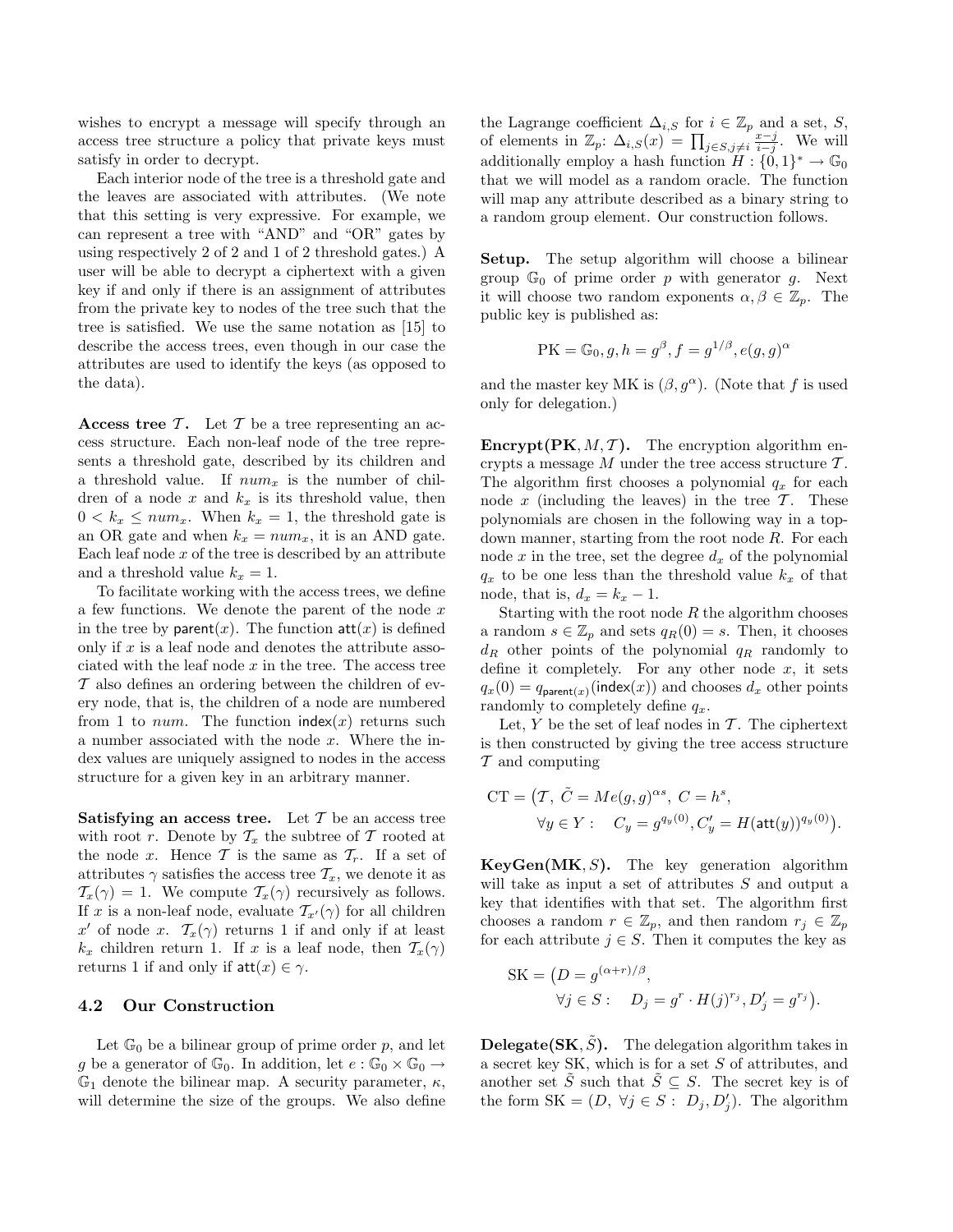wishes to encrypt a message will specify through an access tree structure a policy that private keys must satisfy in order to decrypt.

Each interior node of the tree is a threshold gate and the leaves are associated with attributes. (We note that this setting is very expressive. For example, we can represent a tree with "AND" and "OR" gates by using respectively 2 of 2 and 1 of 2 threshold gates.) A user will be able to decrypt a ciphertext with a given key if and only if there is an assignment of attributes from the private key to nodes of the tree such that the tree is satisfied. We use the same notation as [15] to describe the access trees, even though in our case the attributes are used to identify the keys (as opposed to the data).

Access tree  $\mathcal{T}$ . Let  $\mathcal{T}$  be a tree representing an access structure. Each non-leaf node of the tree represents a threshold gate, described by its children and a threshold value. If  $num_x$  is the number of children of a node x and  $k_x$  is its threshold value, then  $0 < k_x \leq num_x$ . When  $k_x = 1$ , the threshold gate is an OR gate and when  $k_x = num_x$ , it is an AND gate. Each leaf node  $x$  of the tree is described by an attribute and a threshold value  $k_x = 1$ .

To facilitate working with the access trees, we define a few functions. We denote the parent of the node  $x$ in the tree by parent $(x)$ . The function  $\text{att}(x)$  is defined only if  $x$  is a leaf node and denotes the attribute associated with the leaf node  $x$  in the tree. The access tree  $\mathcal T$  also defines an ordering between the children of every node, that is, the children of a node are numbered from 1 to *num*. The function index(x) returns such a number associated with the node  $x$ . Where the index values are uniquely assigned to nodes in the access structure for a given key in an arbitrary manner.

Satisfying an access tree. Let  $\mathcal T$  be an access tree with root r. Denote by  $\mathcal{T}_x$  the subtree of  $\mathcal T$  rooted at the node x. Hence T is the same as  $\mathcal{T}_r$ . If a set of attributes  $\gamma$  satisfies the access tree  $\mathcal{T}_x$ , we denote it as  $\mathcal{T}_x(\gamma) = 1$ . We compute  $\mathcal{T}_x(\gamma)$  recursively as follows. If x is a non-leaf node, evaluate  $\mathcal{T}_{x'}(\gamma)$  for all children x' of node x.  $\mathcal{T}_x(\gamma)$  returns 1 if and only if at least  $k_x$  children return 1. If x is a leaf node, then  $\mathcal{T}_x(\gamma)$ returns 1 if and only if  $\mathsf{att}(x) \in \gamma$ .

#### 4.2 Our Construction

Let  $\mathbb{G}_0$  be a bilinear group of prime order p, and let g be a generator of  $\mathbb{G}_0$ . In addition, let  $e : \mathbb{G}_0 \times \mathbb{G}_0 \rightarrow$  $\mathbb{G}_1$  denote the bilinear map. A security parameter,  $\kappa$ , will determine the size of the groups. We also define the Lagrange coefficient  $\Delta_{i,S}$  for  $i \in \mathbb{Z}_p$  and a set, S, of elements in  $\mathbb{Z}_p$ :  $\Delta_{i,S}(x) = \prod_{j \in S, j \neq i} \frac{x-j}{i-j}$ . We will additionally employ a hash function  $H: \{0,1\}^* \to \mathbb{G}_0$ that we will model as a random oracle. The function will map any attribute described as a binary string to a random group element. Our construction follows.

Setup. The setup algorithm will choose a bilinear group  $\mathbb{G}_0$  of prime order p with generator g. Next it will choose two random exponents  $\alpha, \beta \in \mathbb{Z}_p$ . The public key is published as:

$$
PK = \mathbb{G}_0, g, h = g^{\beta}, f = g^{1/\beta}, e(g, g)^{\alpha}
$$

and the master key MK is  $(\beta, g^{\alpha})$ . (Note that f is used only for delegation.)

**Encrypt(PK, M, T).** The encryption algorithm encrypts a message  $M$  under the tree access structure  $T$ . The algorithm first chooses a polynomial  $q_x$  for each node x (including the leaves) in the tree  $\mathcal{T}$ . These polynomials are chosen in the following way in a topdown manner, starting from the root node R. For each node x in the tree, set the degree  $d_x$  of the polynomial  $q_x$  to be one less than the threshold value  $k_x$  of that node, that is,  $d_x = k_x - 1$ .

Starting with the root node  $R$  the algorithm chooses a random  $s \in \mathbb{Z}_p$  and sets  $q_R(0) = s$ . Then, it chooses  $d_R$  other points of the polynomial  $q_R$  randomly to define it completely. For any other node  $x$ , it sets  $q_x(0) = q_{\text{parent}(x)}(\text{index}(x))$  and chooses  $d_x$  other points randomly to completely define  $q_x$ .

Let,  $Y$  be the set of leaf nodes in  $\mathcal T$ . The ciphertext is then constructed by giving the tree access structure  $\mathcal T$  and computing

$$
CT = \left(\mathcal{T}, \ \tilde{C} = Me(g, g)^{\alpha s}, \ C = h^s, \forall y \in Y: \quad C_y = g^{q_y(0)}, C'_y = H(\text{att}(y))^{q_y(0)}\right).
$$

 $KeyGen(MK, S)$ . The key generation algorithm will take as input a set of attributes S and output a key that identifies with that set. The algorithm first chooses a random  $r \in \mathbb{Z}_p$ , and then random  $r_j \in \mathbb{Z}_p$ for each attribute  $j \in S$ . Then it computes the key as

SK = 
$$
(D = g^{(\alpha+r)/\beta},
$$
  
\n $\forall j \in S: D_j = g^r \cdot H(j)^{r_j}, D'_j = g^{r_j}).$ 

**Delegate(SK,**  $\tilde{S}$ **).** The delegation algorithm takes in a secret key SK, which is for a set S of attributes, and another set  $\tilde{S}$  such that  $\tilde{S} \subseteq S$ . The secret key is of the form  $SK = (D, \forall j \in S : D_j, D'_j)$ . The algorithm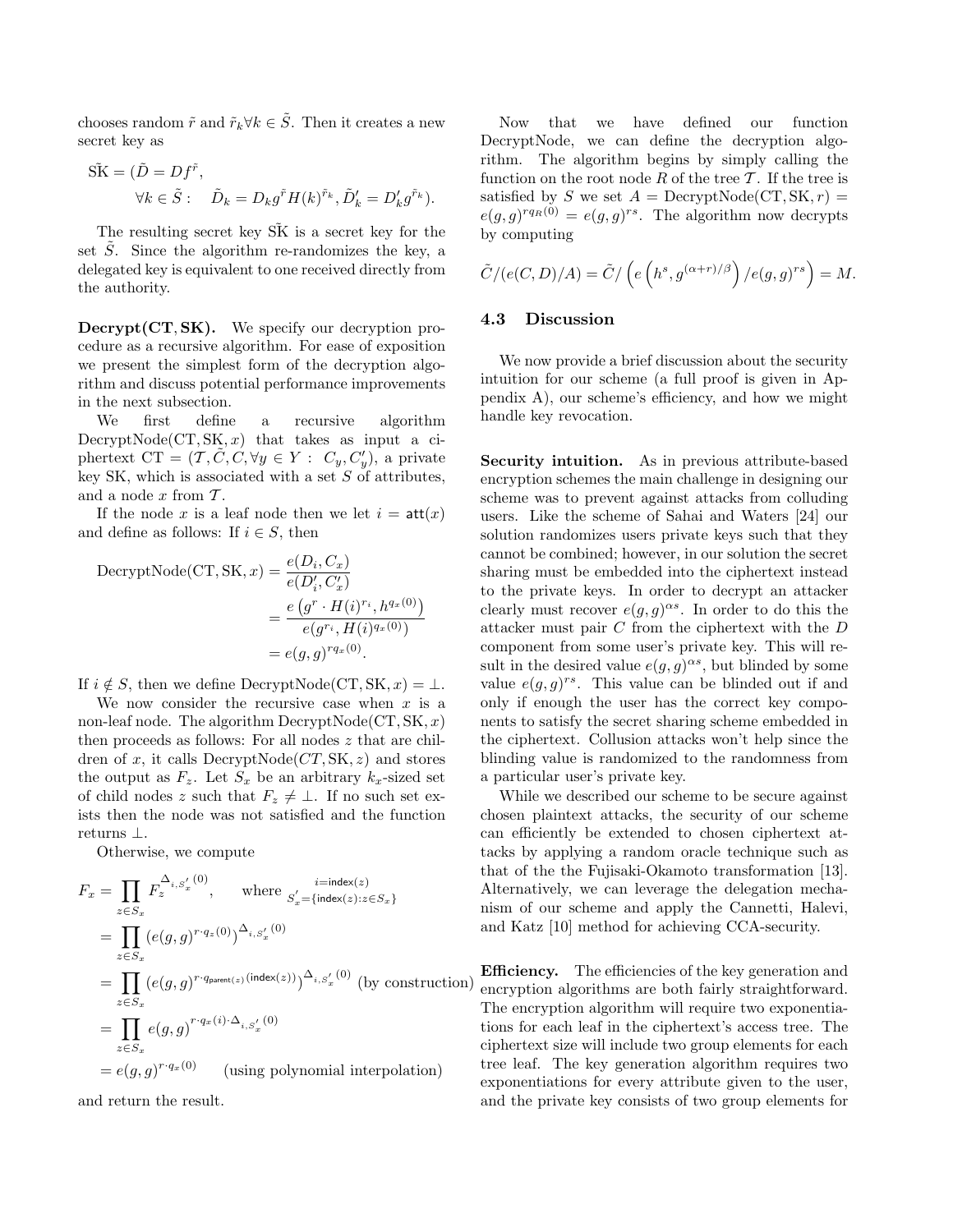chooses random  $\tilde{r}$  and  $\tilde{r}_k \forall k \in \tilde{S}$ . Then it creates a new secret key as

$$
\tilde{\text{SK}} = (\tilde{D} = Df^{\tilde{r}},
$$
  
\n
$$
\forall k \in \tilde{S} : \quad \tilde{D}_k = D_k g^{\tilde{r}} H(k)^{\tilde{r}_k}, \tilde{D}'_k = D'_k g^{\tilde{r}_k}.
$$

The resulting secret key  $S\tilde{K}$  is a secret key for the set  $\tilde{S}$ . Since the algorithm re-randomizes the key, a delegated key is equivalent to one received directly from the authority.

Decrypt(CT, SK). We specify our decryption procedure as a recursive algorithm. For ease of exposition we present the simplest form of the decryption algorithm and discuss potential performance improvements in the next subsection.

We first define a recursive algorithm DecryptNode $(CT, SK, x)$  that takes as input a ciphertext CT =  $(\mathcal{T}, \tilde{C}, \tilde{C}, \forall y \in Y : C_y, C'_y)$ , a private key SK, which is associated with a set  $S$  of attributes, and a node  $x$  from  $\mathcal{T}$ .

If the node x is a leaf node then we let  $i = \text{att}(x)$ and define as follows: If  $i \in S$ , then

DecryptNode(CT, SK, x) =

\n
$$
\frac{e(D_i, C_x)}{e(D_i', C_x')}
$$
\n
$$
= \frac{e(g^r \cdot H(i)^{r_i}, h^{q_x(0)})}{e(g^{r_i}, H(i)^{q_x(0)})}
$$
\n
$$
= e(g, g)^{r q_x(0)}.
$$

If  $i \notin S$ , then we define DecryptNode(CT, SK, x) = ⊥.

We now consider the recursive case when  $x$  is a non-leaf node. The algorithm  $\text{DecryptNode}(CT, SK, x)$ then proceeds as follows: For all nodes z that are children of x, it calls  $\text{DecryptNode}(CT, SK, z)$  and stores the output as  $F_z$ . Let  $S_x$  be an arbitrary  $k_x$ -sized set of child nodes z such that  $F_z \neq \bot$ . If no such set exists then the node was not satisfied and the function returns ⊥.

Otherwise, we compute

$$
F_x = \prod_{z \in S_x} F_z^{\Delta_{i, S'_x}(0)}, \quad \text{where } \sum_{S'_x = \{\text{index}(z) : z \in S_x\}} \sum_{z \in S_x} \text{ (}e(g, g)^{r \cdot q_z(0)})^{\Delta_{i, S'_x}(0)}
$$
\n
$$
= \prod_{z \in S_x} (e(g, g)^{r \cdot q_{\text{parent}(z)}(\text{index}(z))})^{\Delta_{i, S'_x}(0)} \text{ (by construction)}
$$
\n
$$
= \prod_{z \in S_x} e(g, g)^{r \cdot q_x(i) \cdot \Delta_{i, S'_x}(0)}
$$
\n
$$
= e(g, g)^{r \cdot q_x(0)} \text{ (using polynomial interpolation)}
$$

and return the result.

Now that we have defined our function DecryptNode, we can define the decryption algorithm. The algorithm begins by simply calling the function on the root node  $R$  of the tree  $\mathcal T$ . If the tree is satisfied by S we set  $A = \text{DecryptNode}(CT, SK, r)$  $e(g,g)^{rq_R(0)} = e(g,g)^{rs}$ . The algorithm now decrypts by computing

$$
\tilde{C}/(e(C,D)/A) = \tilde{C}/\left(e\left(h^s, g^{(\alpha+r)/\beta}\right)/e(g,g)^{rs}\right) = M.
$$

#### 4.3 Discussion

We now provide a brief discussion about the security intuition for our scheme (a full proof is given in Appendix A), our scheme's efficiency, and how we might handle key revocation.

Security intuition. As in previous attribute-based encryption schemes the main challenge in designing our scheme was to prevent against attacks from colluding users. Like the scheme of Sahai and Waters [24] our solution randomizes users private keys such that they cannot be combined; however, in our solution the secret sharing must be embedded into the ciphertext instead to the private keys. In order to decrypt an attacker clearly must recover  $e(g, g)^{\alpha s}$ . In order to do this the attacker must pair C from the ciphertext with the D component from some user's private key. This will result in the desired value  $e(g, g)^{\alpha s}$ , but blinded by some value  $e(g,g)^{rs}$ . This value can be blinded out if and only if enough the user has the correct key components to satisfy the secret sharing scheme embedded in the ciphertext. Collusion attacks won't help since the blinding value is randomized to the randomness from a particular user's private key.

While we described our scheme to be secure against chosen plaintext attacks, the security of our scheme can efficiently be extended to chosen ciphertext attacks by applying a random oracle technique such as that of the the Fujisaki-Okamoto transformation [13]. Alternatively, we can leverage the delegation mechanism of our scheme and apply the Cannetti, Halevi, and Katz [10] method for achieving CCA-security.

Efficiency. The efficiencies of the key generation and encryption algorithms are both fairly straightforward. The encryption algorithm will require two exponentiations for each leaf in the ciphertext's access tree. The ciphertext size will include two group elements for each tree leaf. The key generation algorithm requires two exponentiations for every attribute given to the user, and the private key consists of two group elements for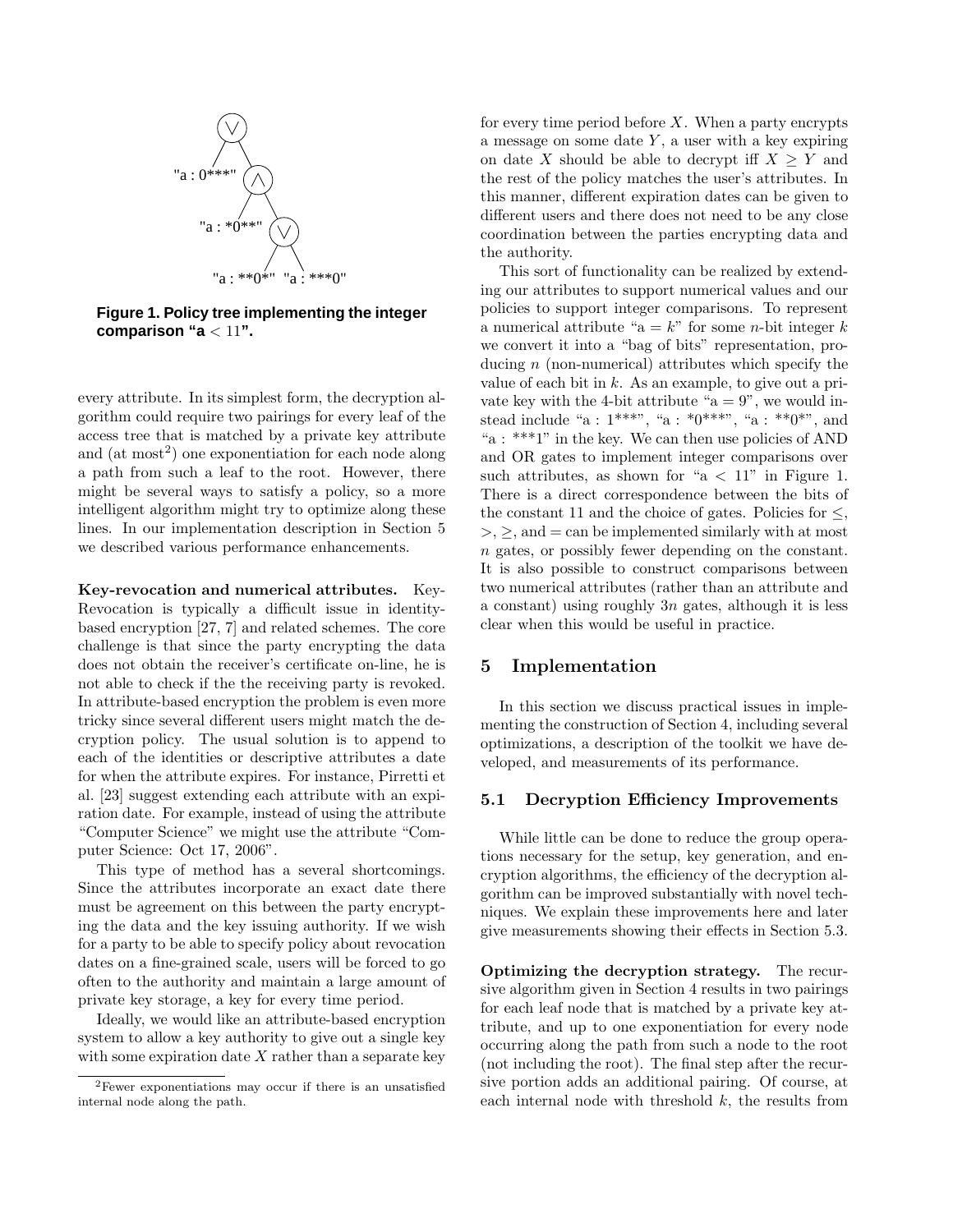

**Figure 1. Policy tree implementing the integer comparison "a**  $< 11$ ".

every attribute. In its simplest form, the decryption algorithm could require two pairings for every leaf of the access tree that is matched by a private key attribute and  $(at most<sup>2</sup>)$  one exponentiation for each node along a path from such a leaf to the root. However, there might be several ways to satisfy a policy, so a more intelligent algorithm might try to optimize along these lines. In our implementation description in Section 5 we described various performance enhancements.

Key-revocation and numerical attributes. Key-Revocation is typically a difficult issue in identitybased encryption [27, 7] and related schemes. The core challenge is that since the party encrypting the data does not obtain the receiver's certificate on-line, he is not able to check if the the receiving party is revoked. In attribute-based encryption the problem is even more tricky since several different users might match the decryption policy. The usual solution is to append to each of the identities or descriptive attributes a date for when the attribute expires. For instance, Pirretti et al. [23] suggest extending each attribute with an expiration date. For example, instead of using the attribute "Computer Science" we might use the attribute "Computer Science: Oct 17, 2006".

This type of method has a several shortcomings. Since the attributes incorporate an exact date there must be agreement on this between the party encrypting the data and the key issuing authority. If we wish for a party to be able to specify policy about revocation dates on a fine-grained scale, users will be forced to go often to the authority and maintain a large amount of private key storage, a key for every time period.

Ideally, we would like an attribute-based encryption system to allow a key authority to give out a single key with some expiration date  $X$  rather than a separate key for every time period before  $X$ . When a party encrypts a message on some date  $Y$ , a user with a key expiring on date X should be able to decrypt iff  $X \geq Y$  and the rest of the policy matches the user's attributes. In this manner, different expiration dates can be given to different users and there does not need to be any close coordination between the parties encrypting data and the authority.

This sort of functionality can be realized by extending our attributes to support numerical values and our policies to support integer comparisons. To represent a numerical attribute " $a = k$ " for some *n*-bit integer k we convert it into a "bag of bits" representation, producing  $n$  (non-numerical) attributes which specify the value of each bit in  $k$ . As an example, to give out a private key with the 4-bit attribute " $a = 9$ ", we would instead include "a:  $1***$ ", "a:  $*0***$ ", "a:  $*0**$ ", and "a : \*\*\*1" in the key. We can then use policies of AND and OR gates to implement integer comparisons over such attributes, as shown for " $a < 11$ " in Figure 1. There is a direct correspondence between the bits of the constant 11 and the choice of gates. Policies for  $\leq$ ,  $>$ ,  $\ge$ , and = can be implemented similarly with at most n gates, or possibly fewer depending on the constant. It is also possible to construct comparisons between two numerical attributes (rather than an attribute and a constant) using roughly  $3n$  gates, although it is less clear when this would be useful in practice.

#### 5 Implementation

In this section we discuss practical issues in implementing the construction of Section 4, including several optimizations, a description of the toolkit we have developed, and measurements of its performance.

#### 5.1 Decryption Efficiency Improvements

While little can be done to reduce the group operations necessary for the setup, key generation, and encryption algorithms, the efficiency of the decryption algorithm can be improved substantially with novel techniques. We explain these improvements here and later give measurements showing their effects in Section 5.3.

Optimizing the decryption strategy. The recursive algorithm given in Section 4 results in two pairings for each leaf node that is matched by a private key attribute, and up to one exponentiation for every node occurring along the path from such a node to the root (not including the root). The final step after the recursive portion adds an additional pairing. Of course, at each internal node with threshold  $k$ , the results from

<sup>2</sup>Fewer exponentiations may occur if there is an unsatisfied internal node along the path.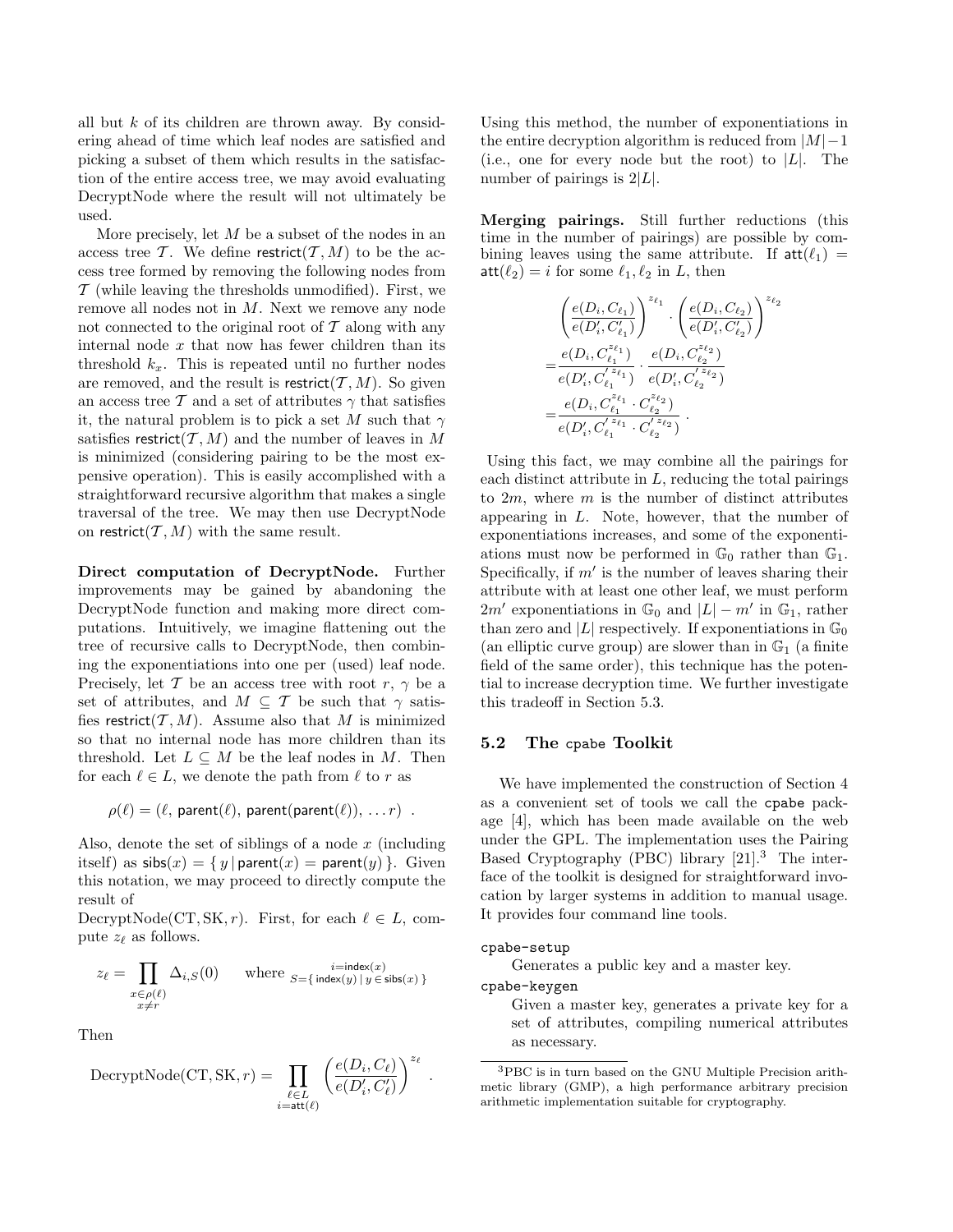all but k of its children are thrown away. By considering ahead of time which leaf nodes are satisfied and picking a subset of them which results in the satisfaction of the entire access tree, we may avoid evaluating DecryptNode where the result will not ultimately be used.

More precisely, let  $M$  be a subset of the nodes in an access tree T. We define restrict(T, M) to be the access tree formed by removing the following nodes from  $\mathcal T$  (while leaving the thresholds unmodified). First, we remove all nodes not in  $M$ . Next we remove any node not connected to the original root of  $\mathcal T$  along with any internal node  $x$  that now has fewer children than its threshold  $k_x$ . This is repeated until no further nodes are removed, and the result is restrict( $T, M$ ). So given an access tree T and a set of attributes  $\gamma$  that satisfies it, the natural problem is to pick a set M such that  $\gamma$ satisfies restrict(T, M) and the number of leaves in M is minimized (considering pairing to be the most expensive operation). This is easily accomplished with a straightforward recursive algorithm that makes a single traversal of the tree. We may then use DecryptNode on restrict( $T, M$ ) with the same result.

Direct computation of DecryptNode. Further improvements may be gained by abandoning the DecryptNode function and making more direct computations. Intuitively, we imagine flattening out the tree of recursive calls to DecryptNode, then combining the exponentiations into one per (used) leaf node. Precisely, let T be an access tree with root r,  $\gamma$  be a set of attributes, and  $M \subseteq \mathcal{T}$  be such that  $\gamma$  satisfies restrict(T, M). Assume also that M is minimized so that no internal node has more children than its threshold. Let  $L \subseteq M$  be the leaf nodes in M. Then for each  $\ell \in L$ , we denote the path from  $\ell$  to r as

$$
\rho(\ell)=(\ell, \, \mathsf{parent}(\ell), \, \mathsf{parent}(\mathsf{parent}(\ell)), \, \ldots r) \enspace .
$$

Also, denote the set of siblings of a node  $x$  (including itself) as  $\text{sibs}(x) = \{ y \mid \text{parent}(x) = \text{parent}(y) \}.$  Given this notation, we may proceed to directly compute the result of

DecryptNode(CT, SK, r). First, for each  $\ell \in L$ , compute  $z_{\ell}$  as follows.

$$
z_{\ell} = \prod_{\substack{x \in \rho(\ell) \\ x \neq r}} \Delta_{i,S}(0) \quad \text{where } \lim_{S = \{\text{ index}(y) \mid y \in \text{sibs}(x) \}}
$$

Then

$$
\text{DecryptNode}(\text{CT}, \text{SK}, r) = \prod_{\substack{\ell \in L \\ i = \text{att}(\ell)}} \left( \frac{e(D_i, C_\ell)}{e(D_i', C_\ell')} \right)^{z_\ell}
$$

Using this method, the number of exponentiations in the entire decryption algorithm is reduced from  $|M|$  – 1 (i.e., one for every node but the root) to  $|L|$ . The number of pairings is  $2|L|$ .

Merging pairings. Still further reductions (this time in the number of pairings) are possible by combining leaves using the same attribute. If  $\text{att}(\ell_1)$  =  $\text{att}(\ell_2) = i$  for some  $\ell_1, \ell_2$  in L, then

$$
\begin{aligned} &\left(\frac{e(D_i,C_{\ell_1})}{e(D_i',C_{\ell_1}')} \right)^{z_{\ell_1}} \cdot \left(\frac{e(D_i,C_{\ell_2})}{e(D_i',C_{\ell_2}')}\right)^{z_{\ell_2}} \\ =& \frac{e(D_i,C_{\ell_1}^{z_{\ell_1}})}{e(D_i',C_{\ell_1}^{'z_{\ell_1}})} \cdot \frac{e(D_i,C_{\ell_2}^{z_{\ell_2}})}{e(D_i',C_{\ell_2}^{'z_{\ell_2}})} \\ =& \frac{e(D_i,C_{\ell_1}^{z_{\ell_1}} \cdot C_{\ell_2}^{z_{\ell_2}})}{e(D_i',C_{\ell_1}^{'z_{\ell_1}} \cdot C_{\ell_2}^{'z_{\ell_2}})} \ . \end{aligned}
$$

Using this fact, we may combine all the pairings for each distinct attribute in  $L$ , reducing the total pairings to  $2m$ , where m is the number of distinct attributes appearing in L. Note, however, that the number of exponentiations increases, and some of the exponentiations must now be performed in  $\mathbb{G}_0$  rather than  $\mathbb{G}_1$ . Specifically, if  $m'$  is the number of leaves sharing their attribute with at least one other leaf, we must perform 2m' exponentiations in  $\mathbb{G}_0$  and  $|L| - m'$  in  $\mathbb{G}_1$ , rather than zero and |L| respectively. If exponentiations in  $\mathbb{G}_0$ (an elliptic curve group) are slower than in  $\mathbb{G}_1$  (a finite field of the same order), this technique has the potential to increase decryption time. We further investigate this tradeoff in Section 5.3.

#### 5.2 The cpabe Toolkit

We have implemented the construction of Section 4 as a convenient set of tools we call the cpabe package [4], which has been made available on the web under the GPL. The implementation uses the Pairing Based Cryptography (PBC) library [21].<sup>3</sup> The interface of the toolkit is designed for straightforward invocation by larger systems in addition to manual usage. It provides four command line tools.

#### cpabe-setup

Generates a public key and a master key.

cpabe-keygen

.

Given a master key, generates a private key for a set of attributes, compiling numerical attributes as necessary.

<sup>3</sup>PBC is in turn based on the GNU Multiple Precision arithmetic library (GMP), a high performance arbitrary precision arithmetic implementation suitable for cryptography.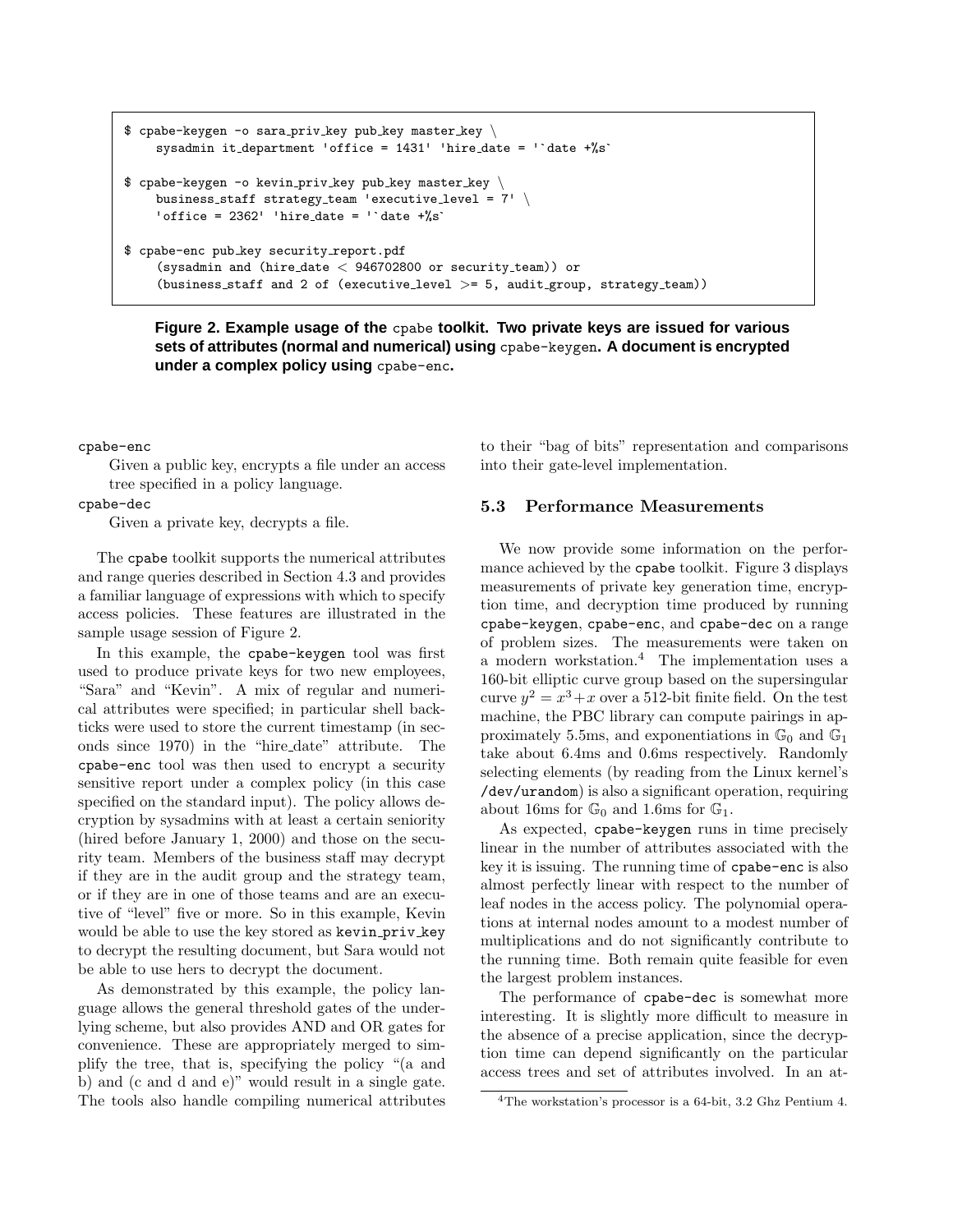```
$ cpabe-keygen -o sara priv key pub key master key \
    sysadmin it department 'office = 1431' 'hire date = '`date +%s`
$ cpabe-keygen -o kevin priv key pub key master key \
    business_staff strategy_team 'executive_level = 7' \
    'of\ice = 2362' 'hire_date = ''date +%s'
$ cpabe-enc pub key security report.pdf
    (sysadmin and (hire date < 946702800 or security team)) or
    (business staff and 2 of (executive level >= 5, audit group, strategy team))
```
**Figure 2. Example usage of the** cpabe **toolkit. Two private keys are issued for various sets of attributes (normal and numerical) using** cpabe-keygen**. A document is encrypted under a complex policy using** cpabe-enc**.**

cpabe-enc

Given a public key, encrypts a file under an access tree specified in a policy language.

cpabe-dec

Given a private key, decrypts a file.

The cpabe toolkit supports the numerical attributes and range queries described in Section 4.3 and provides a familiar language of expressions with which to specify access policies. These features are illustrated in the sample usage session of Figure 2.

In this example, the cpabe-keygen tool was first used to produce private keys for two new employees, "Sara" and "Kevin". A mix of regular and numerical attributes were specified; in particular shell backticks were used to store the current timestamp (in seconds since 1970) in the "hire date" attribute. The cpabe-enc tool was then used to encrypt a security sensitive report under a complex policy (in this case specified on the standard input). The policy allows decryption by sysadmins with at least a certain seniority (hired before January 1, 2000) and those on the security team. Members of the business staff may decrypt if they are in the audit group and the strategy team, or if they are in one of those teams and are an executive of "level" five or more. So in this example, Kevin would be able to use the key stored as kevin priv key to decrypt the resulting document, but Sara would not be able to use hers to decrypt the document.

As demonstrated by this example, the policy language allows the general threshold gates of the underlying scheme, but also provides AND and OR gates for convenience. These are appropriately merged to simplify the tree, that is, specifying the policy "(a and b) and (c and d and e)" would result in a single gate. The tools also handle compiling numerical attributes to their "bag of bits" representation and comparisons into their gate-level implementation.

#### 5.3 Performance Measurements

We now provide some information on the performance achieved by the cpabe toolkit. Figure 3 displays measurements of private key generation time, encryption time, and decryption time produced by running cpabe-keygen, cpabe-enc, and cpabe-dec on a range of problem sizes. The measurements were taken on a modern workstation.<sup>4</sup> The implementation uses a 160-bit elliptic curve group based on the supersingular curve  $y^2 = x^3 + x$  over a 512-bit finite field. On the test machine, the PBC library can compute pairings in approximately 5.5ms, and exponentiations in  $\mathbb{G}_0$  and  $\mathbb{G}_1$ take about 6.4ms and 0.6ms respectively. Randomly selecting elements (by reading from the Linux kernel's /dev/urandom) is also a significant operation, requiring about 16ms for  $\mathbb{G}_0$  and 1.6ms for  $\mathbb{G}_1$ .

As expected, cpabe-keygen runs in time precisely linear in the number of attributes associated with the key it is issuing. The running time of cpabe-enc is also almost perfectly linear with respect to the number of leaf nodes in the access policy. The polynomial operations at internal nodes amount to a modest number of multiplications and do not significantly contribute to the running time. Both remain quite feasible for even the largest problem instances.

The performance of cpabe-dec is somewhat more interesting. It is slightly more difficult to measure in the absence of a precise application, since the decryption time can depend significantly on the particular access trees and set of attributes involved. In an at-

<sup>4</sup>The workstation's processor is a 64-bit, 3.2 Ghz Pentium 4.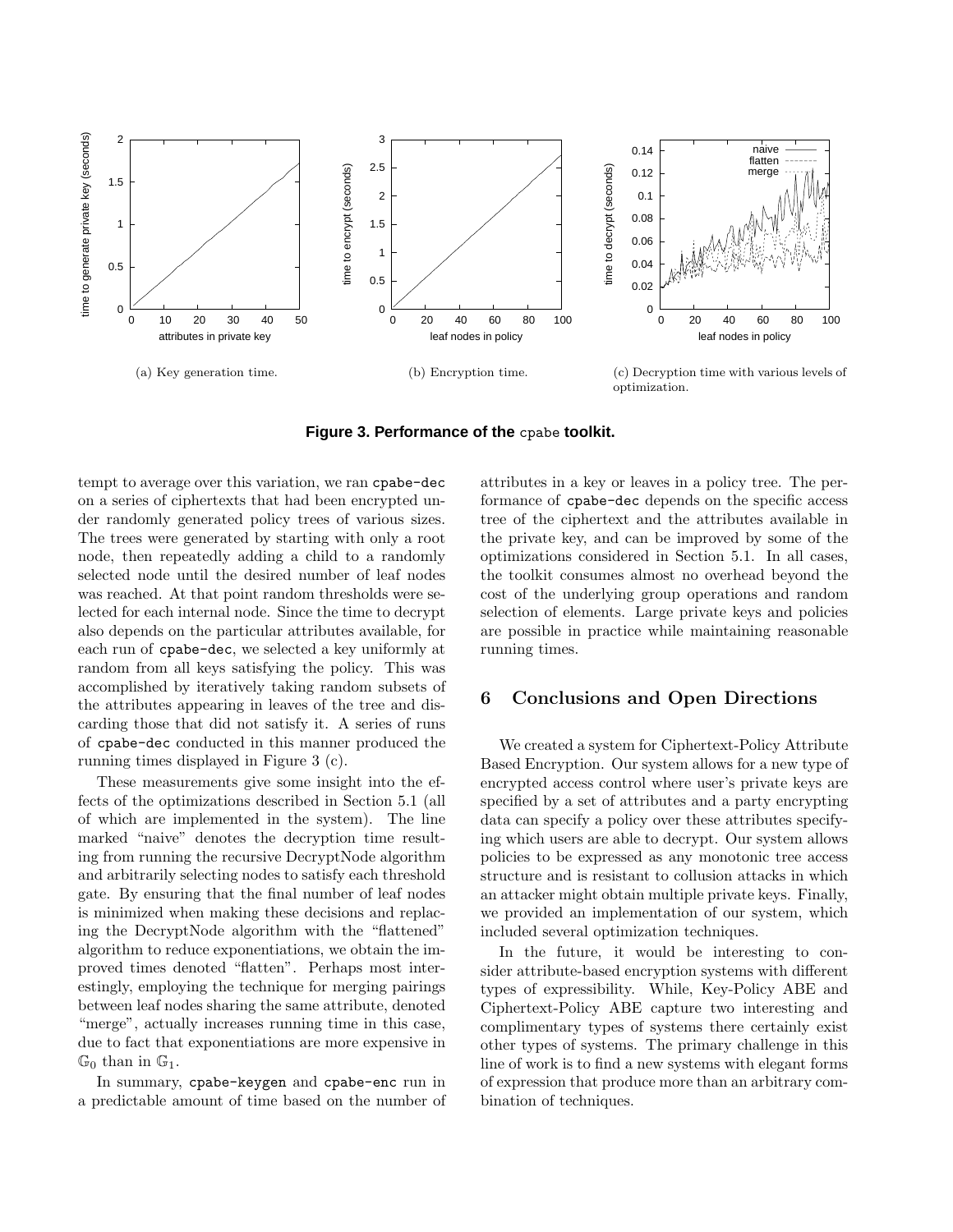

**Figure 3. Performance of the** cpabe **toolkit.**

tempt to average over this variation, we ran cpabe-dec on a series of ciphertexts that had been encrypted under randomly generated policy trees of various sizes. The trees were generated by starting with only a root node, then repeatedly adding a child to a randomly selected node until the desired number of leaf nodes was reached. At that point random thresholds were selected for each internal node. Since the time to decrypt also depends on the particular attributes available, for each run of cpabe-dec, we selected a key uniformly at random from all keys satisfying the policy. This was accomplished by iteratively taking random subsets of the attributes appearing in leaves of the tree and discarding those that did not satisfy it. A series of runs of cpabe-dec conducted in this manner produced the running times displayed in Figure 3 (c).

These measurements give some insight into the effects of the optimizations described in Section 5.1 (all of which are implemented in the system). The line marked "naive" denotes the decryption time resulting from running the recursive DecryptNode algorithm and arbitrarily selecting nodes to satisfy each threshold gate. By ensuring that the final number of leaf nodes is minimized when making these decisions and replacing the DecryptNode algorithm with the "flattened" algorithm to reduce exponentiations, we obtain the improved times denoted "flatten". Perhaps most interestingly, employing the technique for merging pairings between leaf nodes sharing the same attribute, denoted "merge", actually increases running time in this case, due to fact that exponentiations are more expensive in  $\mathbb{G}_0$  than in  $\mathbb{G}_1$ .

In summary, cpabe-keygen and cpabe-enc run in a predictable amount of time based on the number of attributes in a key or leaves in a policy tree. The performance of cpabe-dec depends on the specific access tree of the ciphertext and the attributes available in the private key, and can be improved by some of the optimizations considered in Section 5.1. In all cases, the toolkit consumes almost no overhead beyond the cost of the underlying group operations and random selection of elements. Large private keys and policies are possible in practice while maintaining reasonable running times.

#### 6 Conclusions and Open Directions

We created a system for Ciphertext-Policy Attribute Based Encryption. Our system allows for a new type of encrypted access control where user's private keys are specified by a set of attributes and a party encrypting data can specify a policy over these attributes specifying which users are able to decrypt. Our system allows policies to be expressed as any monotonic tree access structure and is resistant to collusion attacks in which an attacker might obtain multiple private keys. Finally, we provided an implementation of our system, which included several optimization techniques.

In the future, it would be interesting to consider attribute-based encryption systems with different types of expressibility. While, Key-Policy ABE and Ciphertext-Policy ABE capture two interesting and complimentary types of systems there certainly exist other types of systems. The primary challenge in this line of work is to find a new systems with elegant forms of expression that produce more than an arbitrary combination of techniques.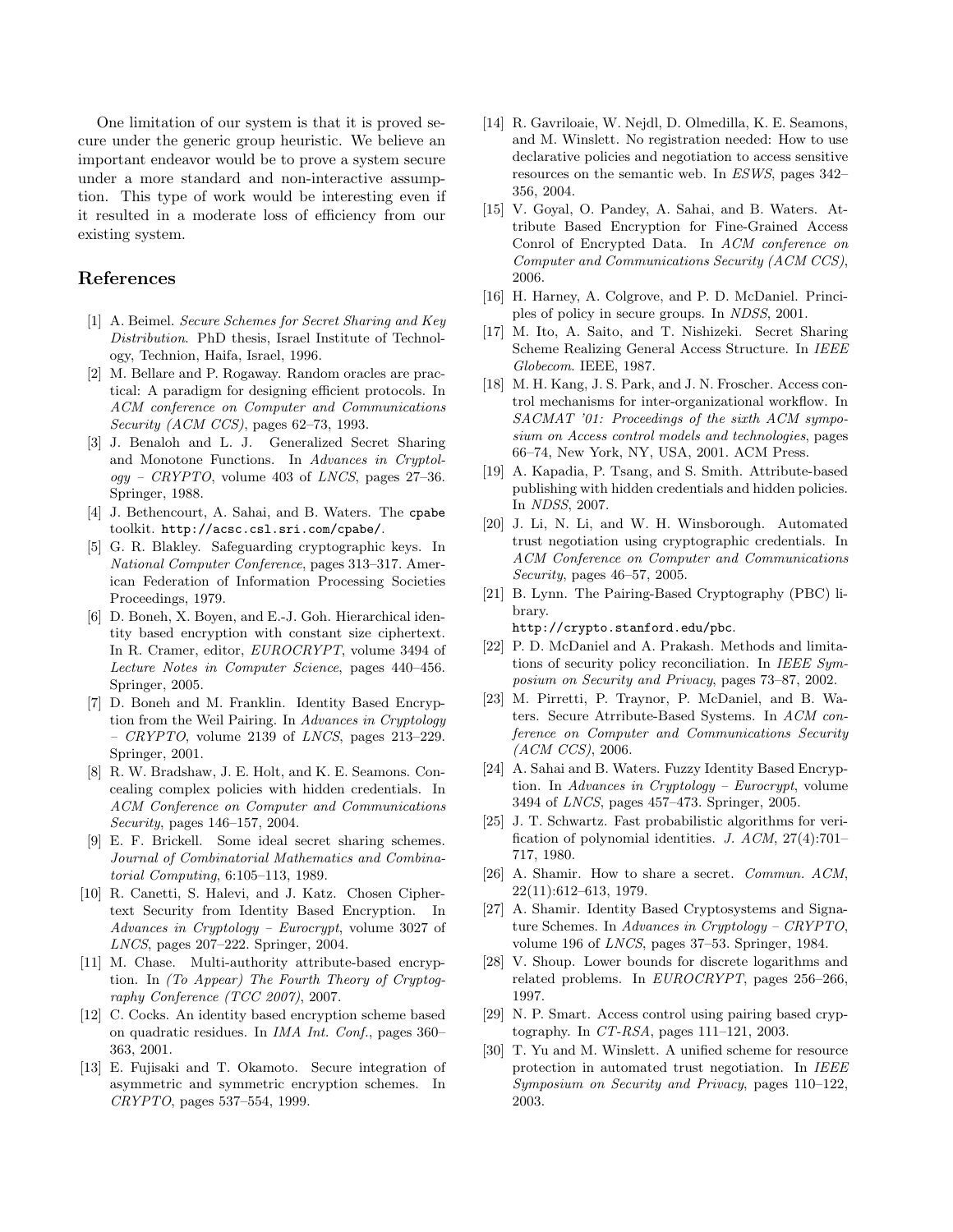One limitation of our system is that it is proved secure under the generic group heuristic. We believe an important endeavor would be to prove a system secure under a more standard and non-interactive assumption. This type of work would be interesting even if it resulted in a moderate loss of efficiency from our existing system.

#### References

- [1] A. Beimel. Secure Schemes for Secret Sharing and Key Distribution. PhD thesis, Israel Institute of Technology, Technion, Haifa, Israel, 1996.
- [2] M. Bellare and P. Rogaway. Random oracles are practical: A paradigm for designing efficient protocols. In ACM conference on Computer and Communications Security (ACM CCS), pages 62–73, 1993.
- [3] J. Benaloh and L. J. Generalized Secret Sharing and Monotone Functions. In Advances in Cryptol $ogy - CRYPTO$ , volume 403 of *LNCS*, pages 27–36. Springer, 1988.
- [4] J. Bethencourt, A. Sahai, and B. Waters. The cpabe toolkit. http://acsc.csl.sri.com/cpabe/.
- [5] G. R. Blakley. Safeguarding cryptographic keys. In National Computer Conference, pages 313–317. American Federation of Information Processing Societies Proceedings, 1979.
- [6] D. Boneh, X. Boyen, and E.-J. Goh. Hierarchical identity based encryption with constant size ciphertext. In R. Cramer, editor, EUROCRYPT, volume 3494 of Lecture Notes in Computer Science, pages 440–456. Springer, 2005.
- [7] D. Boneh and M. Franklin. Identity Based Encryption from the Weil Pairing. In Advances in Cryptology  $-$  CRYPTO, volume 2139 of LNCS, pages 213-229. Springer, 2001.
- [8] R. W. Bradshaw, J. E. Holt, and K. E. Seamons. Concealing complex policies with hidden credentials. In ACM Conference on Computer and Communications Security, pages 146–157, 2004.
- [9] E. F. Brickell. Some ideal secret sharing schemes. Journal of Combinatorial Mathematics and Combinatorial Computing, 6:105–113, 1989.
- [10] R. Canetti, S. Halevi, and J. Katz. Chosen Ciphertext Security from Identity Based Encryption. In Advances in Cryptology – Eurocrypt, volume 3027 of LNCS, pages 207–222. Springer, 2004.
- [11] M. Chase. Multi-authority attribute-based encryption. In (To Appear) The Fourth Theory of Cryptography Conference (TCC 2007), 2007.
- [12] C. Cocks. An identity based encryption scheme based on quadratic residues. In IMA Int. Conf., pages 360– 363, 2001.
- [13] E. Fujisaki and T. Okamoto. Secure integration of asymmetric and symmetric encryption schemes. In CRYPTO, pages 537–554, 1999.
- [14] R. Gavriloaie, W. Nejdl, D. Olmedilla, K. E. Seamons, and M. Winslett. No registration needed: How to use declarative policies and negotiation to access sensitive resources on the semantic web. In ESWS, pages 342– 356, 2004.
- [15] V. Goyal, O. Pandey, A. Sahai, and B. Waters. Attribute Based Encryption for Fine-Grained Access Conrol of Encrypted Data. In ACM conference on Computer and Communications Security (ACM CCS), 2006.
- [16] H. Harney, A. Colgrove, and P. D. McDaniel. Principles of policy in secure groups. In NDSS, 2001.
- [17] M. Ito, A. Saito, and T. Nishizeki. Secret Sharing Scheme Realizing General Access Structure. In IEEE Globecom. IEEE, 1987.
- [18] M. H. Kang, J. S. Park, and J. N. Froscher. Access control mechanisms for inter-organizational workflow. In SACMAT '01: Proceedings of the sixth ACM symposium on Access control models and technologies, pages 66–74, New York, NY, USA, 2001. ACM Press.
- [19] A. Kapadia, P. Tsang, and S. Smith. Attribute-based publishing with hidden credentials and hidden policies. In NDSS, 2007.
- [20] J. Li, N. Li, and W. H. Winsborough. Automated trust negotiation using cryptographic credentials. In ACM Conference on Computer and Communications Security, pages 46–57, 2005.
- [21] B. Lynn. The Pairing-Based Cryptography (PBC) library.

http://crypto.stanford.edu/pbc.

- [22] P. D. McDaniel and A. Prakash. Methods and limitations of security policy reconciliation. In IEEE Symposium on Security and Privacy, pages 73–87, 2002.
- [23] M. Pirretti, P. Traynor, P. McDaniel, and B. Waters. Secure Atrribute-Based Systems. In ACM conference on Computer and Communications Security (ACM CCS), 2006.
- [24] A. Sahai and B. Waters. Fuzzy Identity Based Encryption. In Advances in Cryptology – Eurocrypt, volume 3494 of LNCS, pages 457–473. Springer, 2005.
- [25] J. T. Schwartz. Fast probabilistic algorithms for verification of polynomial identities. J. ACM, 27(4):701– 717, 1980.
- [26] A. Shamir. How to share a secret. Commun. ACM, 22(11):612–613, 1979.
- [27] A. Shamir. Identity Based Cryptosystems and Signature Schemes. In Advances in Cryptology – CRYPTO, volume 196 of LNCS, pages 37–53. Springer, 1984.
- [28] V. Shoup. Lower bounds for discrete logarithms and related problems. In EUROCRYPT, pages 256–266, 1997.
- [29] N. P. Smart. Access control using pairing based cryptography. In CT-RSA, pages 111–121, 2003.
- [30] T. Yu and M. Winslett. A unified scheme for resource protection in automated trust negotiation. In IEEE Symposium on Security and Privacy, pages 110–122, 2003.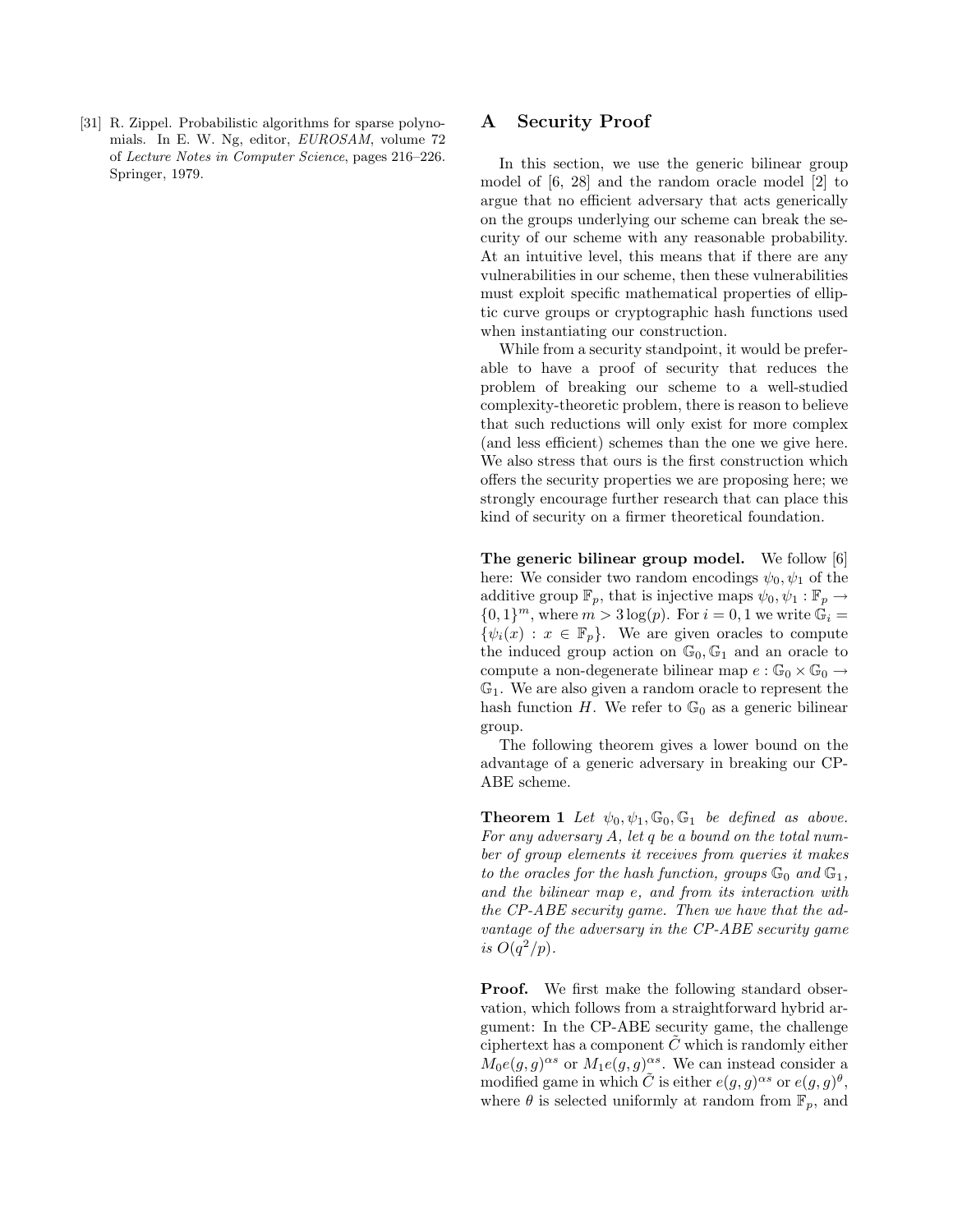[31] R. Zippel. Probabilistic algorithms for sparse polynomials. In E. W. Ng, editor, EUROSAM, volume 72 of Lecture Notes in Computer Science, pages 216–226. Springer, 1979.

#### A Security Proof

In this section, we use the generic bilinear group model of [6, 28] and the random oracle model [2] to argue that no efficient adversary that acts generically on the groups underlying our scheme can break the security of our scheme with any reasonable probability. At an intuitive level, this means that if there are any vulnerabilities in our scheme, then these vulnerabilities must exploit specific mathematical properties of elliptic curve groups or cryptographic hash functions used when instantiating our construction.

While from a security standpoint, it would be preferable to have a proof of security that reduces the problem of breaking our scheme to a well-studied complexity-theoretic problem, there is reason to believe that such reductions will only exist for more complex (and less efficient) schemes than the one we give here. We also stress that ours is the first construction which offers the security properties we are proposing here; we strongly encourage further research that can place this kind of security on a firmer theoretical foundation.

The generic bilinear group model. We follow [6] here: We consider two random encodings  $\psi_0, \psi_1$  of the additive group  $\mathbb{F}_p$ , that is injective maps  $\psi_0, \psi_1 : \mathbb{F}_p \to$  $\{0,1\}^m$ , where  $m > 3 \log(p)$ . For  $i = 0, 1$  we write  $\hat{\mathbb{G}}_i =$  $\{\psi_i(x): x \in \mathbb{F}_p\}.$  We are given oracles to compute the induced group action on  $\mathbb{G}_0$ ,  $\mathbb{G}_1$  and an oracle to compute a non-degenerate bilinear map  $e : \mathbb{G}_0 \times \mathbb{G}_0 \to$  $\mathbb{G}_1$ . We are also given a random oracle to represent the hash function  $H$ . We refer to  $\mathbb{G}_0$  as a generic bilinear group.

The following theorem gives a lower bound on the advantage of a generic adversary in breaking our CP-ABE scheme.

**Theorem 1** Let  $\psi_0, \psi_1, \mathbb{G}_0, \mathbb{G}_1$  be defined as above. For any adversary  $A$ , let  $q$  be a bound on the total number of group elements it receives from queries it makes to the oracles for the hash function, groups  $\mathbb{G}_0$  and  $\mathbb{G}_1$ , and the bilinear map e, and from its interaction with the CP-ABE security game. Then we have that the advantage of the adversary in the CP-ABE security game is  $O(q^2/p)$ .

**Proof.** We first make the following standard observation, which follows from a straightforward hybrid argument: In the CP-ABE security game, the challenge ciphertext has a component  $\tilde{C}$  which is randomly either  $M_0e(g,g)^{\alpha s}$  or  $M_1e(g,g)^{\alpha s}$ . We can instead consider a modified game in which  $\tilde{C}$  is either  $e(g,g)^{\alpha s}$  or  $e(g,g)^{\theta}$ , where  $\theta$  is selected uniformly at random from  $\mathbb{F}_p$ , and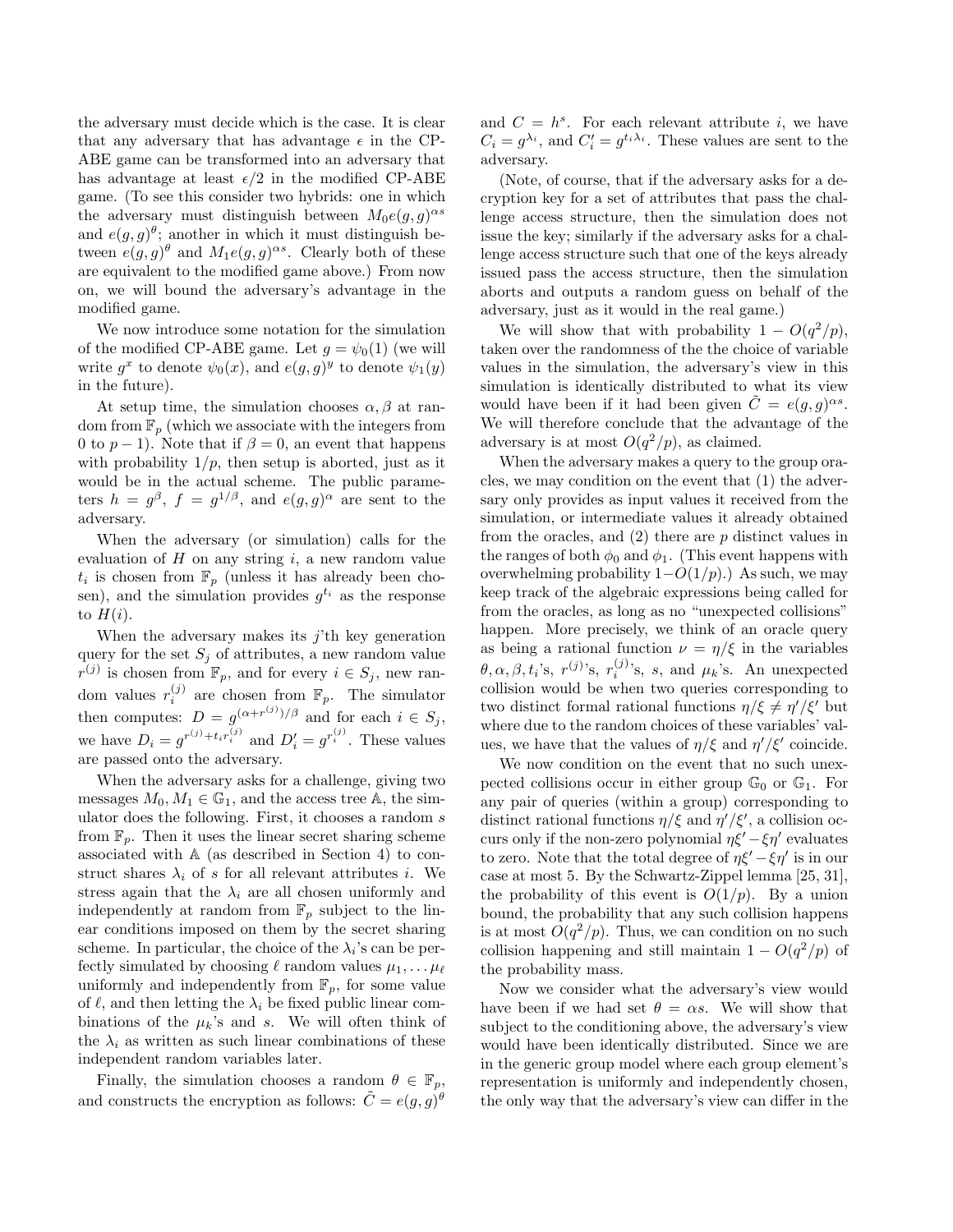the adversary must decide which is the case. It is clear that any adversary that has advantage  $\epsilon$  in the CP-ABE game can be transformed into an adversary that has advantage at least  $\epsilon/2$  in the modified CP-ABE game. (To see this consider two hybrids: one in which the adversary must distinguish between  $M_0e(g,g)^{\alpha s}$ and  $e(g, g)$ <sup> $\theta$ </sup>; another in which it must distinguish between  $e(g,g)$ <sup> $\theta$ </sup> and  $M_1e(g,g)^{\alpha s}$ . Clearly both of these are equivalent to the modified game above.) From now on, we will bound the adversary's advantage in the modified game.

We now introduce some notation for the simulation of the modified CP-ABE game. Let  $g = \psi_0(1)$  (we will write  $g^x$  to denote  $\psi_0(x)$ , and  $e(g, g)^y$  to denote  $\psi_1(y)$ in the future).

At setup time, the simulation chooses  $\alpha, \beta$  at random from  $\mathbb{F}_p$  (which we associate with the integers from 0 to  $p-1$ ). Note that if  $\beta = 0$ , an event that happens with probability  $1/p$ , then setup is aborted, just as it would be in the actual scheme. The public parameters  $h = g^{\beta}, f = g^{1/\beta},$  and  $e(g, g)^{\alpha}$  are sent to the adversary.

When the adversary (or simulation) calls for the evaluation of  $H$  on any string  $i$ , a new random value  $t_i$  is chosen from  $\mathbb{F}_p$  (unless it has already been chosen), and the simulation provides  $g^{t_i}$  as the response to  $H(i)$ .

When the adversary makes its  $i$ <sup>th</sup> key generation query for the set  $S_j$  of attributes, a new random value  $r^{(j)}$  is chosen from  $\mathbb{F}_p$ , and for every  $i \in S_j$ , new random values  $r_i^{(j)}$  are chosen from  $\mathbb{F}_p$ . The simulator i then computes:  $D = g^{(\alpha+r^{(j)})/\beta}$  and for each  $i \in S_j$ , we have  $D_i = g^{r^{(j)} + t_i r_i^{(j)}}$  and  $D'_i = g^{r_i^{(j)}}$ . These values are passed onto the adversary.

When the adversary asks for a challenge, giving two messages  $M_0, M_1 \in \mathbb{G}_1$ , and the access tree A, the simulator does the following. First, it chooses a random s from  $\mathbb{F}_p$ . Then it uses the linear secret sharing scheme associated with A (as described in Section 4) to construct shares  $\lambda_i$  of s for all relevant attributes i. We stress again that the  $\lambda_i$  are all chosen uniformly and independently at random from  $\mathbb{F}_p$  subject to the linear conditions imposed on them by the secret sharing scheme. In particular, the choice of the  $\lambda_i$ 's can be perfectly simulated by choosing  $\ell$  random values  $\mu_1, \ldots, \mu_\ell$ uniformly and independently from  $\mathbb{F}_p$ , for some value of  $\ell$ , and then letting the  $\lambda_i$  be fixed public linear combinations of the  $\mu_k$ 's and s. We will often think of the  $\lambda_i$  as written as such linear combinations of these independent random variables later.

Finally, the simulation chooses a random  $\theta \in \mathbb{F}_p$ , and constructs the encryption as follows:  $\tilde{C} = e(g, g)^{\theta}$ 

and  $C = h<sup>s</sup>$ . For each relevant attribute *i*, we have  $C_i = g^{\lambda_i}$ , and  $C'_i = g^{t_i \lambda_i}$ . These values are sent to the adversary.

(Note, of course, that if the adversary asks for a decryption key for a set of attributes that pass the challenge access structure, then the simulation does not issue the key; similarly if the adversary asks for a challenge access structure such that one of the keys already issued pass the access structure, then the simulation aborts and outputs a random guess on behalf of the adversary, just as it would in the real game.)

We will show that with probability  $1 - O(q^2/p)$ , taken over the randomness of the the choice of variable values in the simulation, the adversary's view in this simulation is identically distributed to what its view would have been if it had been given  $\tilde{C} = e(g, g)^{\alpha s}$ . We will therefore conclude that the advantage of the adversary is at most  $O(q^2/p)$ , as claimed.

When the adversary makes a query to the group oracles, we may condition on the event that (1) the adversary only provides as input values it received from the simulation, or intermediate values it already obtained from the oracles, and  $(2)$  there are p distinct values in the ranges of both  $\phi_0$  and  $\phi_1$ . (This event happens with overwhelming probability  $1-O(1/p)$ .) As such, we may keep track of the algebraic expressions being called for from the oracles, as long as no "unexpected collisions" happen. More precisely, we think of an oracle query as being a rational function  $\nu = \eta/\xi$  in the variables  $\theta, \alpha, \beta, t_i$ 's,  $r_i^{(j)}$ 's,  $r_i^{(j)}$ 's, s, and  $\mu_k$ 's. An unexpected collision would be when two queries corresponding to two distinct formal rational functions  $\eta/\xi \neq \eta'/\xi'$  but where due to the random choices of these variables' values, we have that the values of  $\eta/\xi$  and  $\eta'/\xi'$  coincide.

We now condition on the event that no such unexpected collisions occur in either group  $\mathbb{G}_0$  or  $\mathbb{G}_1$ . For any pair of queries (within a group) corresponding to distinct rational functions  $\eta/\xi$  and  $\eta'/\xi'$ , a collision occurs only if the non-zero polynomial  $\eta \xi' - \xi \eta'$  evaluates to zero. Note that the total degree of  $\eta \xi' - \xi \eta'$  is in our case at most 5. By the Schwartz-Zippel lemma [25, 31], the probability of this event is  $O(1/p)$ . By a union bound, the probability that any such collision happens is at most  $O(q^2/p)$ . Thus, we can condition on no such collision happening and still maintain  $1 - O(q^2/p)$  of the probability mass.

Now we consider what the adversary's view would have been if we had set  $\theta = \alpha s$ . We will show that subject to the conditioning above, the adversary's view would have been identically distributed. Since we are in the generic group model where each group element's representation is uniformly and independently chosen, the only way that the adversary's view can differ in the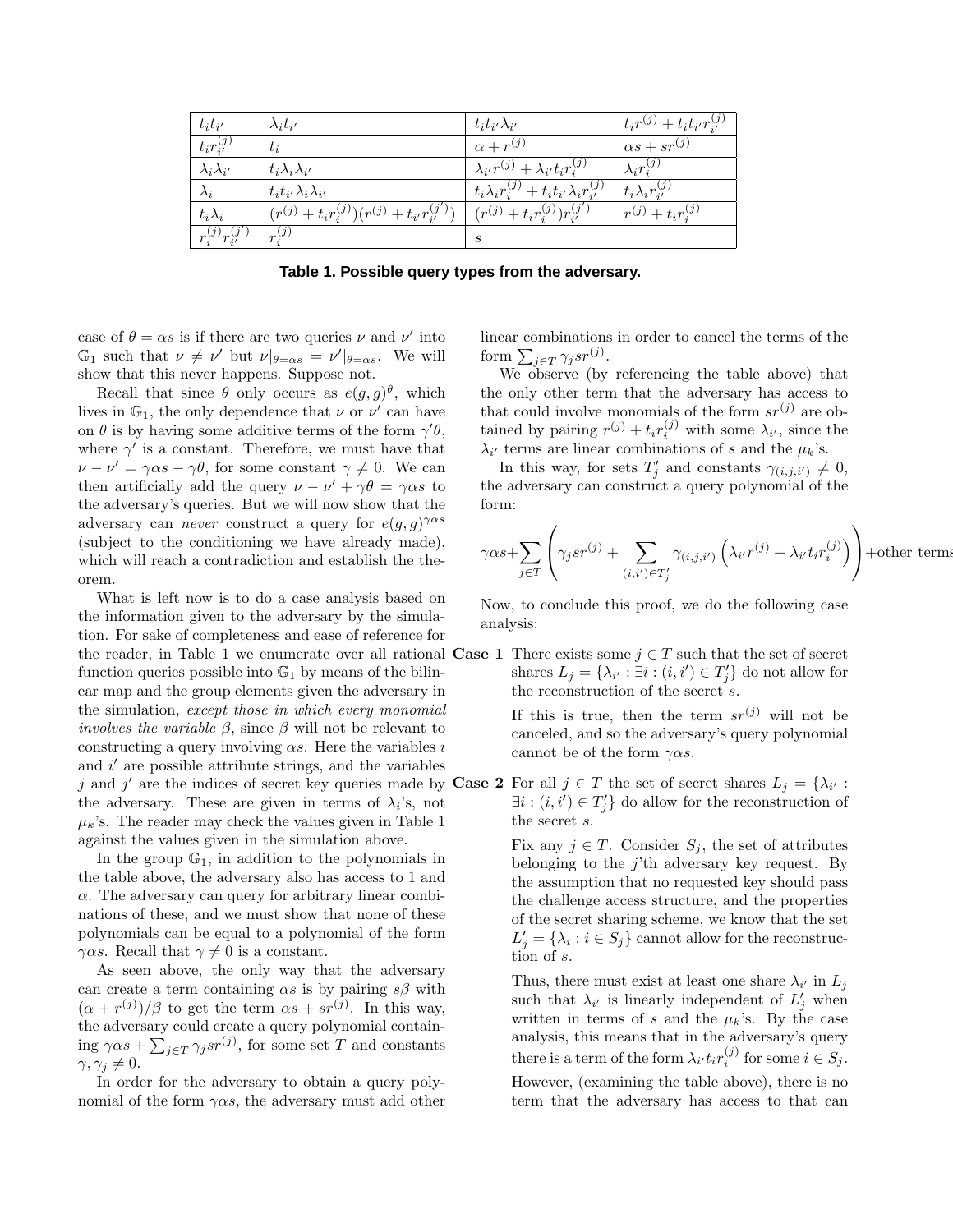| $t_i t_{i'}$            | $\lambda_i t_{i'}$                                    | $t_i t_{i'} \lambda_{i'}$                                              | $t_i r^{(j)} + t_i t_{i'} r_{i'}^{\vee j'}$ |
|-------------------------|-------------------------------------------------------|------------------------------------------------------------------------|---------------------------------------------|
| $t_i r_{i'}^\vee$       | $t_i$                                                 | $\alpha + r^{(j)}$                                                     | $\alpha s + s r^{(j)}$                      |
| $\lambda_i\lambda_{i'}$ | $t_i\lambda_i\lambda_{i'}$                            | $\lambda_{i'}r^{(j)} + \lambda_{i'}t_ir_i^{(j)}$                       | $-\lambda_i r$                              |
| $\lambda_i$             | $t_i t_{i'} \lambda_i \lambda_{i'}$                   | $U^j + t_i t_{i'} \lambda_i r_{i'}^{(j)}$<br>$t_i \lambda_i r_i^{(j)}$ | $t_i\lambda_i r_{i'}^{\vee}$                |
| $t_i\lambda_i$          | $(r^{(j)}+t_ir^{(j)}_i)(r^{(j)}+t_{i'}r^{(j')}_{i'})$ | $(r^{(j)}+t_ir^{(j)}_i)r^{(j)}_{i'}$                                   | $r^{(j)} + t_i r_i^{(j)}$                   |
| $r_i^{(j)}r_{i'}^{(j)}$ | $r^{(j)}$                                             | S                                                                      |                                             |

**Table 1. Possible query types from the adversary.**

case of  $\theta = \alpha s$  is if there are two queries  $\nu$  and  $\nu'$  into  $\mathbb{G}_1$  such that  $\nu \neq \nu'$  but  $\nu|_{\theta=\alpha s} = \nu'|_{\theta=\alpha s}$ . We will show that this never happens. Suppose not.

Recall that since  $\theta$  only occurs as  $e(g,g)^{\theta}$ , which lives in  $\mathbb{G}_1$ , the only dependence that  $\nu$  or  $\nu'$  can have on  $\theta$  is by having some additive terms of the form  $\gamma' \theta$ , where  $\gamma'$  is a constant. Therefore, we must have that  $\nu - \nu' = \gamma \alpha s - \gamma \theta$ , for some constant  $\gamma \neq 0$ . We can then artificially add the query  $\nu - \nu' + \gamma \theta = \gamma \alpha s$  to the adversary's queries. But we will now show that the adversary can *never* construct a query for  $e(g, g)^{\gamma \alpha s}$ (subject to the conditioning we have already made), which will reach a contradiction and establish the theorem.

What is left now is to do a case analysis based on the information given to the adversary by the simulation. For sake of completeness and ease of reference for the reader, in Table 1 we enumerate over all rational function queries possible into  $\mathbb{G}_1$  by means of the bilinear map and the group elements given the adversary in the simulation, except those in which every monomial *involves the variable*  $\beta$ , since  $\beta$  will not be relevant to constructing a query involving  $\alpha s$ . Here the variables i and  $i'$  are possible attribute strings, and the variables j and j' are the indices of secret key queries made by Case 2 For all  $j \in T$  the set of secret shares  $L_j = \{\lambda_{i'} :$ the adversary. These are given in terms of  $\lambda_i$ 's, not  $\mu_k$ 's. The reader may check the values given in Table 1 against the values given in the simulation above.

In the group  $\mathbb{G}_1$ , in addition to the polynomials in the table above, the adversary also has access to 1 and  $\alpha$ . The adversary can query for arbitrary linear combinations of these, and we must show that none of these polynomials can be equal to a polynomial of the form  $\gamma \alpha s$ . Recall that  $\gamma \neq 0$  is a constant.

As seen above, the only way that the adversary can create a term containing  $\alpha s$  is by pairing  $s\beta$  with  $(\alpha + r^{(j)})/\beta$  to get the term  $\alpha s + s r^{(j)}$ . In this way, the adversary could create a query polynomial containing  $\gamma \alpha s + \sum_{j \in T} \gamma_j s r^{(j)}$ , for some set T and constants  $\gamma, \gamma_i \neq 0.$ 

In order for the adversary to obtain a query polynomial of the form  $\gamma \alpha s$ , the adversary must add other linear combinations in order to cancel the terms of the form  $\sum_{j \in T} \gamma_j s r^{(j)}$ .

We observe (by referencing the table above) that the only other term that the adversary has access to that could involve monomials of the form  $sr^{(j)}$  are obtained by pairing  $r^{(j)} + t_i r_i^{(j)}$  with some  $\lambda_{i'}$ , since the  $\lambda_{i'}$  terms are linear combinations of s and the  $\mu_k$ 's.

In this way, for sets  $T'_j$  and constants  $\gamma_{(i,j,i')} \neq 0$ , the adversary can construct a query polynomial of the form:

$$
\gamma \alpha s + \sum_{j \in T} \left( \gamma_j s r^{(j)} + \sum_{(i,i') \in T'_j} \gamma_{(i,j,i')} \left( \lambda_{i'} r^{(j)} + \lambda_{i'} t_i r_i^{(j)} \right) \right) + \text{other terms}
$$

Now, to conclude this proof, we do the following case analysis:

**Case 1** There exists some  $j \in T$  such that the set of secret shares  $L_j = \{\lambda_{i'} : \exists i : (i, i') \in T'_j\}$  do not allow for the reconstruction of the secret  $s$ .

> If this is true, then the term  $sr^{(j)}$  will not be canceled, and so the adversary's query polynomial cannot be of the form  $\gamma \alpha s$ .

 $\exists i : (i, i') \in T'_j$  do allow for the reconstruction of the secret s.

> Fix any  $j \in T$ . Consider  $S_j$ , the set of attributes belonging to the  $j$ 'th adversary key request. By the assumption that no requested key should pass the challenge access structure, and the properties of the secret sharing scheme, we know that the set  $L'_j = {\lambda_i : i \in S_j}$  cannot allow for the reconstruction of s.

> Thus, there must exist at least one share  $\lambda_{i'}$  in  $L_j$ such that  $\lambda_{i'}$  is linearly independent of  $L'_{j}$  when written in terms of s and the  $\mu_k$ 's. By the case analysis, this means that in the adversary's query there is a term of the form  $\lambda_{i'} t_i r_i^{(j)}$  for some  $i \in S_j$ . However, (examining the table above), there is no term that the adversary has access to that can